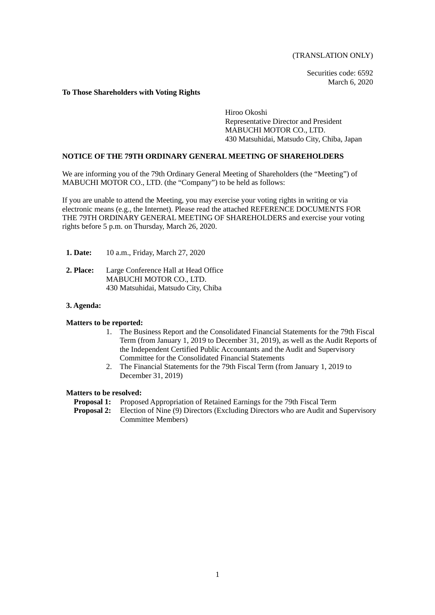(TRANSLATION ONLY)

Securities code: 6592 March 6, 2020

### **To Those Shareholders with Voting Rights**

Hiroo Okoshi Representative Director and President MABUCHI MOTOR CO., LTD. 430 Matsuhidai, Matsudo City, Chiba, Japan

## **NOTICE OF THE 79TH ORDINARY GENERAL MEETING OF SHAREHOLDERS**

We are informing you of the 79th Ordinary General Meeting of Shareholders (the "Meeting") of MABUCHI MOTOR CO., LTD. (the "Company") to be held as follows:

If you are unable to attend the Meeting, you may exercise your voting rights in writing or via electronic means (e.g., the Internet). Please read the attached REFERENCE DOCUMENTS FOR THE 79TH ORDINARY GENERAL MEETING OF SHAREHOLDERS and exercise your voting rights before 5 p.m. on Thursday, March 26, 2020.

- **1. Date:** 10 a.m., Friday, March 27, 2020
- **2. Place:** Large Conference Hall at Head Office MABUCHI MOTOR CO., LTD. 430 Matsuhidai, Matsudo City, Chiba

## **3. Agenda:**

### **Matters to be reported:**

- 1. The Business Report and the Consolidated Financial Statements for the 79th Fiscal Term (from January 1, 2019 to December 31, 2019), as well as the Audit Reports of the Independent Certified Public Accountants and the Audit and Supervisory Committee for the Consolidated Financial Statements
- 2. The Financial Statements for the 79th Fiscal Term (from January 1, 2019 to December 31, 2019)

### **Matters to be resolved:**

- **Proposal 1:** Proposed Appropriation of Retained Earnings for the 79th Fiscal Term
- **Proposal 2:** Election of Nine (9) Directors (Excluding Directors who are Audit and Supervisory Committee Members)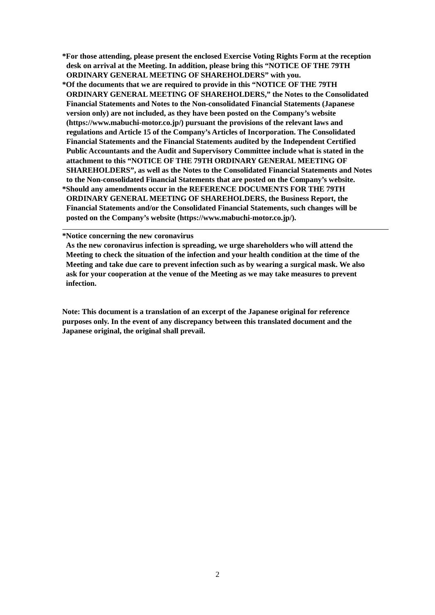- **\*For those attending, please present the enclosed Exercise Voting Rights Form at the reception desk on arrival at the Meeting. In addition, please bring this "NOTICE OF THE 79TH ORDINARY GENERAL MEETING OF SHAREHOLDERS" with you.**
- **\*Of the documents that we are required to provide in this "NOTICE OF THE 79TH ORDINARY GENERAL MEETING OF SHAREHOLDERS," the Notes to the Consolidated Financial Statements and Notes to the Non-consolidated Financial Statements (Japanese version only) are not included, as they have been posted on the Company's website (https://www.mabuchi-motor.co.jp/) pursuant the provisions of the relevant laws and regulations and Article 15 of the Company's Articles of Incorporation. The Consolidated Financial Statements and the Financial Statements audited by the Independent Certified Public Accountants and the Audit and Supervisory Committee include what is stated in the attachment to this "NOTICE OF THE 79TH ORDINARY GENERAL MEETING OF SHAREHOLDERS", as well as the Notes to the Consolidated Financial Statements and Notes to the Non-consolidated Financial Statements that are posted on the Company's website. \*Should any amendments occur in the REFERENCE DOCUMENTS FOR THE 79TH ORDINARY GENERAL MEETING OF SHAREHOLDERS, the Business Report, the Financial Statements and/or the Consolidated Financial Statements, such changes will be posted on the Company's website (https://www.mabuchi-motor.co.jp/).**

**\*Notice concerning the new coronavirus** 

**As the new coronavirus infection is spreading, we urge shareholders who will attend the Meeting to check the situation of the infection and your health condition at the time of the Meeting and take due care to prevent infection such as by wearing a surgical mask. We also ask for your cooperation at the venue of the Meeting as we may take measures to prevent infection.** 

**Note: This document is a translation of an excerpt of the Japanese original for reference purposes only. In the event of any discrepancy between this translated document and the Japanese original, the original shall prevail.**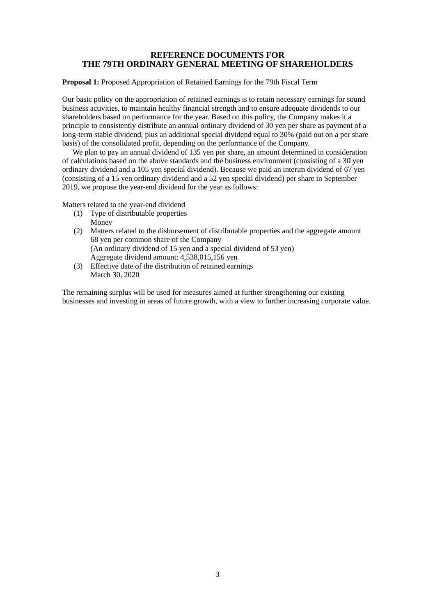## **REFERENCE DOCUMENTS FOR THE 79TH ORDINARY GENERAL MEETING OF SHAREHOLDERS**

**Proposal 1:** Proposed Appropriation of Retained Earnings for the 79th Fiscal Term

Our basic policy on the appropriation of retained earnings is to retain necessary earnings for sound business activities, to maintain healthy financial strength and to ensure adequate dividends to our shareholders based on performance for the year. Based on this policy, the Company makes it a principle to consistently distribute an annual ordinary dividend of 30 yen per share as payment of a long-term stable dividend, plus an additional special dividend equal to 30% (paid out on a per share basis) of the consolidated profit, depending on the performance of the Company.

We plan to pay an annual dividend of 135 yen per share, an amount determined in consideration of calculations based on the above standards and the business environment (consisting of a 30 yen ordinary dividend and a 105 yen special dividend). Because we paid an interim dividend of 67 yen (consisting of a 15 yen ordinary dividend and a 52 yen special dividend) per share in September 2019, we propose the year-end dividend for the year as follows:

Matters related to the year-end dividend

- (1) Type of distributable properties Money
- (2) Matters related to the disbursement of distributable properties and the aggregate amount 68 yen per common share of the Company (An ordinary dividend of 15 yen and a special dividend of 53 yen) Aggregate dividend amount: 4,538,015,156 yen
- (3) Effective date of the distribution of retained earnings March 30, 2020

The remaining surplus will be used for measures aimed at further strengthening our existing businesses and investing in areas of future growth, with a view to further increasing corporate value.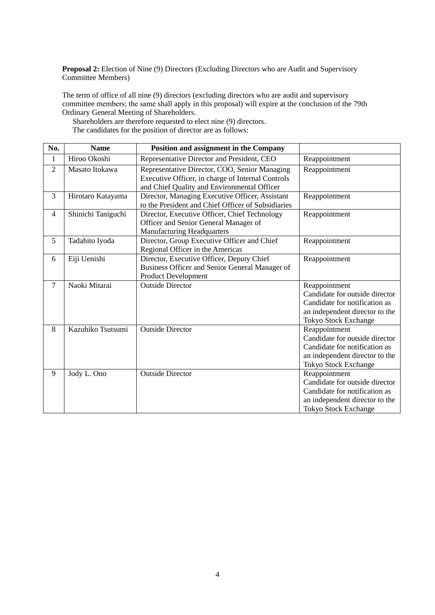**Proposal 2:** Election of Nine (9) Directors (Excluding Directors who are Audit and Supervisory Committee Members)

The term of office of all nine (9) directors (excluding directors who are audit and supervisory committee members; the same shall apply in this proposal) will expire at the conclusion of the 79th Ordinary General Meeting of Shareholders.

Shareholders are therefore requested to elect nine (9) directors. The candidates for the position of director are as follows:

| No.            | <b>Name</b>        | Position and assignment in the Company                                                                                                            |                                                                                                                                                   |
|----------------|--------------------|---------------------------------------------------------------------------------------------------------------------------------------------------|---------------------------------------------------------------------------------------------------------------------------------------------------|
| $\mathbf{1}$   | Hiroo Okoshi       | Representative Director and President, CEO                                                                                                        | Reappointment                                                                                                                                     |
| $\overline{2}$ | Masato Itokawa     | Representative Director, COO, Senior Managing<br>Executive Officer, in charge of Internal Controls<br>and Chief Quality and Environmental Officer | Reappointment                                                                                                                                     |
| 3              | Hirotaro Katayama  | Director, Managing Executive Officer, Assistant<br>to the President and Chief Officer of Subsidiaries                                             | Reappointment                                                                                                                                     |
| $\overline{4}$ | Shinichi Taniguchi | Director, Executive Officer, Chief Technology<br>Officer and Senior General Manager of<br><b>Manufacturing Headquarters</b>                       | Reappointment                                                                                                                                     |
| 5              | Tadahito Iyoda     | Director, Group Executive Officer and Chief<br>Regional Officer in the Americas                                                                   | Reappointment                                                                                                                                     |
| 6              | Eiji Uenishi       | Director, Executive Officer, Deputy Chief<br>Business Officer and Senior General Manager of<br><b>Product Development</b>                         | Reappointment                                                                                                                                     |
| $\overline{7}$ | Naoki Mitarai      | <b>Outside Director</b>                                                                                                                           | Reappointment<br>Candidate for outside director<br>Candidate for notification as<br>an independent director to the<br>Tokyo Stock Exchange        |
| 8              | Kazuhiko Tsutsumi  | <b>Outside Director</b>                                                                                                                           | Reappointment<br>Candidate for outside director<br>Candidate for notification as<br>an independent director to the<br>Tokyo Stock Exchange        |
| 9              | Jody L. Ono        | <b>Outside Director</b>                                                                                                                           | Reappointment<br>Candidate for outside director<br>Candidate for notification as<br>an independent director to the<br><b>Tokyo Stock Exchange</b> |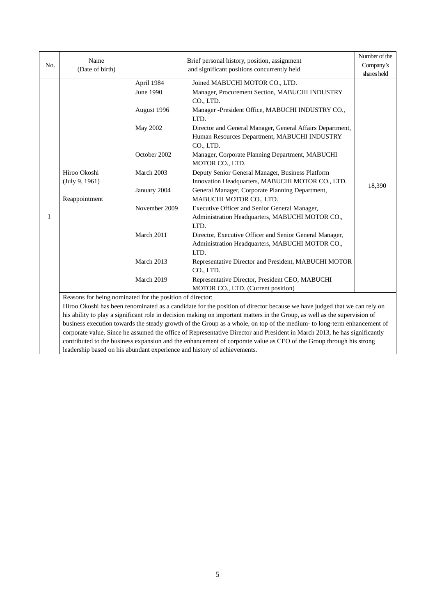| No.          | Name                                                                     | Brief personal history, position, assignment |                                                                                                                                                           |                          |  |
|--------------|--------------------------------------------------------------------------|----------------------------------------------|-----------------------------------------------------------------------------------------------------------------------------------------------------------|--------------------------|--|
|              | (Date of birth)                                                          |                                              | and significant positions concurrently held                                                                                                               | Company's<br>shares held |  |
|              |                                                                          | April 1984<br>June 1990<br>August 1996       | Joined MABUCHI MOTOR CO., LTD.<br>Manager, Procurement Section, MABUCHI INDUSTRY<br>CO., LTD.<br>Manager -President Office, MABUCHI INDUSTRY CO.,<br>LTD. |                          |  |
|              |                                                                          | May 2002                                     | Director and General Manager, General Affairs Department,<br>Human Resources Department, MABUCHI INDUSTRY<br>CO., LTD.                                    |                          |  |
|              |                                                                          | October 2002                                 | Manager, Corporate Planning Department, MABUCHI<br>MOTOR CO., LTD.                                                                                        |                          |  |
|              | Hiroo Okoshi<br>(July 9, 1961)<br>Reappointment                          | March 2003                                   | Deputy Senior General Manager, Business Platform<br>Innovation Headquarters, MABUCHI MOTOR CO., LTD.                                                      |                          |  |
|              |                                                                          | January 2004                                 | General Manager, Corporate Planning Department,<br>MABUCHI MOTOR CO., LTD.                                                                                | 18,390                   |  |
| $\mathbf{1}$ |                                                                          | November 2009                                | Executive Officer and Senior General Manager,<br>Administration Headquarters, MABUCHI MOTOR CO.,<br>LTD.                                                  |                          |  |
|              |                                                                          | March 2011                                   | Director, Executive Officer and Senior General Manager,<br>Administration Headquarters, MABUCHI MOTOR CO.,<br>LTD.                                        |                          |  |
|              |                                                                          | March 2013                                   | Representative Director and President, MABUCHI MOTOR<br>CO., LTD.                                                                                         |                          |  |
|              |                                                                          | March 2019                                   | Representative Director, President CEO, MABUCHI<br>MOTOR CO., LTD. (Current position)                                                                     |                          |  |
|              | Reasons for being nominated for the position of director:                |                                              |                                                                                                                                                           |                          |  |
|              |                                                                          |                                              | Hiroo Okoshi has been renominated as a candidate for the position of director because we have judged that we can rely on                                  |                          |  |
|              |                                                                          |                                              | his ability to play a significant role in decision making on important matters in the Group, as well as the supervision of                                |                          |  |
|              |                                                                          |                                              | business execution towards the steady growth of the Group as a whole, on top of the medium- to long-term enhancement of                                   |                          |  |
|              |                                                                          |                                              | corporate value. Since he assumed the office of Representative Director and President in March 2013, he has significantly                                 |                          |  |
|              |                                                                          |                                              | contributed to the business expansion and the enhancement of corporate value as CEO of the Group through his strong                                       |                          |  |
|              | leadership based on his abundant experience and history of achievements. |                                              |                                                                                                                                                           |                          |  |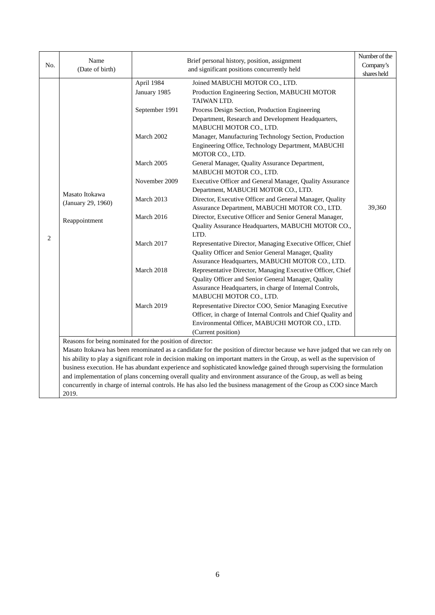| No. | Name<br>(Date of birth)                                   |                            | Brief personal history, position, assignment<br>and significant positions concurrently held                                                                                                                                                         | Number of the<br>Company's<br>shares held |
|-----|-----------------------------------------------------------|----------------------------|-----------------------------------------------------------------------------------------------------------------------------------------------------------------------------------------------------------------------------------------------------|-------------------------------------------|
|     |                                                           | April 1984<br>January 1985 | Joined MABUCHI MOTOR CO., LTD.<br>Production Engineering Section, MABUCHI MOTOR<br>TAIWAN LTD.                                                                                                                                                      |                                           |
|     |                                                           | September 1991             | Process Design Section, Production Engineering<br>Department, Research and Development Headquarters,<br>MABUCHI MOTOR CO., LTD.                                                                                                                     |                                           |
|     |                                                           | March 2002                 | Manager, Manufacturing Technology Section, Production<br>Engineering Office, Technology Department, MABUCHI<br>MOTOR CO., LTD.                                                                                                                      |                                           |
|     |                                                           | March 2005                 | General Manager, Quality Assurance Department,<br>MABUCHI MOTOR CO., LTD.                                                                                                                                                                           |                                           |
|     |                                                           | November 2009              | Executive Officer and General Manager, Quality Assurance<br>Department, MABUCHI MOTOR CO., LTD.                                                                                                                                                     |                                           |
|     | Masato Itokawa<br>(January 29, 1960)                      | March 2013                 | Director, Executive Officer and General Manager, Quality<br>Assurance Department, MABUCHI MOTOR CO., LTD.                                                                                                                                           | 39,360                                    |
|     | Reappointment                                             | March 2016                 | Director, Executive Officer and Senior General Manager,<br>Quality Assurance Headquarters, MABUCHI MOTOR CO.,<br>LTD.                                                                                                                               |                                           |
| 2   |                                                           | March 2017                 | Representative Director, Managing Executive Officer, Chief<br>Quality Officer and Senior General Manager, Quality<br>Assurance Headquarters, MABUCHI MOTOR CO., LTD.                                                                                |                                           |
|     |                                                           | March 2018                 | Representative Director, Managing Executive Officer, Chief<br>Quality Officer and Senior General Manager, Quality<br>Assurance Headquarters, in charge of Internal Controls,<br>MABUCHI MOTOR CO., LTD.                                             |                                           |
|     |                                                           | March 2019                 | Representative Director COO, Senior Managing Executive<br>Officer, in charge of Internal Controls and Chief Quality and<br>Environmental Officer, MABUCHI MOTOR CO., LTD.<br>(Current position)                                                     |                                           |
|     | Reasons for being nominated for the position of director: |                            |                                                                                                                                                                                                                                                     |                                           |
|     |                                                           |                            | Masato Itokawa has been renominated as a candidate for the position of director because we have judged that we can rely on                                                                                                                          |                                           |
|     |                                                           |                            | his ability to play a significant role in decision making on important matters in the Group, as well as the supervision of<br>business execution. He has abundant experience and sophisticated knowledge gained through supervising the formulation |                                           |
|     |                                                           |                            | and implementation of plans concerning overall quality and environment assurance of the Group, as well as being                                                                                                                                     |                                           |
|     |                                                           |                            | concurrently in charge of internal controls. He has also led the business management of the Group as COO since March                                                                                                                                |                                           |
|     | 2019.                                                     |                            |                                                                                                                                                                                                                                                     |                                           |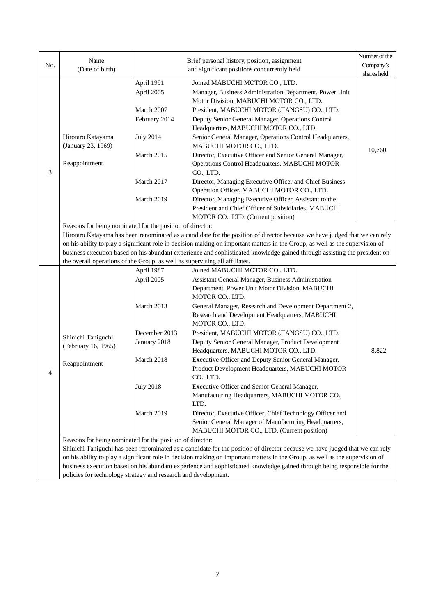|     |                                                                                                                                                                                                                                                           |                  |                                                                                                                               | Number of the |  |  |  |
|-----|-----------------------------------------------------------------------------------------------------------------------------------------------------------------------------------------------------------------------------------------------------------|------------------|-------------------------------------------------------------------------------------------------------------------------------|---------------|--|--|--|
| No. | Name                                                                                                                                                                                                                                                      |                  | Brief personal history, position, assignment                                                                                  | Company's     |  |  |  |
|     | (Date of birth)                                                                                                                                                                                                                                           |                  | and significant positions concurrently held                                                                                   | shares held   |  |  |  |
|     |                                                                                                                                                                                                                                                           | April 1991       | Joined MABUCHI MOTOR CO., LTD.                                                                                                |               |  |  |  |
|     |                                                                                                                                                                                                                                                           | April 2005       | Manager, Business Administration Department, Power Unit                                                                       |               |  |  |  |
|     |                                                                                                                                                                                                                                                           |                  | Motor Division, MABUCHI MOTOR CO., LTD.                                                                                       |               |  |  |  |
|     |                                                                                                                                                                                                                                                           | March 2007       | President, MABUCHI MOTOR (JIANGSU) CO., LTD.                                                                                  |               |  |  |  |
|     |                                                                                                                                                                                                                                                           | February 2014    | Deputy Senior General Manager, Operations Control                                                                             |               |  |  |  |
|     |                                                                                                                                                                                                                                                           |                  | Headquarters, MABUCHI MOTOR CO., LTD.                                                                                         |               |  |  |  |
|     | Hirotaro Katayama                                                                                                                                                                                                                                         | <b>July 2014</b> | Senior General Manager, Operations Control Headquarters,                                                                      |               |  |  |  |
|     | (January 23, 1969)                                                                                                                                                                                                                                        |                  | MABUCHI MOTOR CO., LTD.                                                                                                       |               |  |  |  |
|     |                                                                                                                                                                                                                                                           | March 2015       | Director, Executive Officer and Senior General Manager,                                                                       | 10,760        |  |  |  |
|     | Reappointment                                                                                                                                                                                                                                             |                  | Operations Control Headquarters, MABUCHI MOTOR                                                                                |               |  |  |  |
| 3   |                                                                                                                                                                                                                                                           |                  | CO., LTD.                                                                                                                     |               |  |  |  |
|     |                                                                                                                                                                                                                                                           | March 2017       | Director, Managing Executive Officer and Chief Business                                                                       |               |  |  |  |
|     |                                                                                                                                                                                                                                                           |                  | Operation Officer, MABUCHI MOTOR CO., LTD.                                                                                    |               |  |  |  |
|     |                                                                                                                                                                                                                                                           | March 2019       | Director, Managing Executive Officer, Assistant to the                                                                        |               |  |  |  |
|     |                                                                                                                                                                                                                                                           |                  | President and Chief Officer of Subsidiaries, MABUCHI                                                                          |               |  |  |  |
|     |                                                                                                                                                                                                                                                           |                  | MOTOR CO., LTD. (Current position)                                                                                            |               |  |  |  |
|     | Reasons for being nominated for the position of director:                                                                                                                                                                                                 |                  |                                                                                                                               |               |  |  |  |
|     | Hirotaro Katayama has been renominated as a candidate for the position of director because we have judged that we can rely                                                                                                                                |                  |                                                                                                                               |               |  |  |  |
|     |                                                                                                                                                                                                                                                           |                  | on his ability to play a significant role in decision making on important matters in the Group, as well as the supervision of |               |  |  |  |
|     |                                                                                                                                                                                                                                                           |                  | business execution based on his abundant experience and sophisticated knowledge gained through assisting the president on     |               |  |  |  |
|     | the overall operations of the Group, as well as supervising all affiliates.                                                                                                                                                                               |                  |                                                                                                                               |               |  |  |  |
|     |                                                                                                                                                                                                                                                           | April 1987       | Joined MABUCHI MOTOR CO., LTD.                                                                                                |               |  |  |  |
|     |                                                                                                                                                                                                                                                           | April 2005       | Assistant General Manager, Business Administration                                                                            |               |  |  |  |
|     |                                                                                                                                                                                                                                                           |                  | Department, Power Unit Motor Division, MABUCHI<br>MOTOR CO., LTD.                                                             |               |  |  |  |
|     |                                                                                                                                                                                                                                                           | March 2013       | General Manager, Research and Development Department 2,                                                                       |               |  |  |  |
|     |                                                                                                                                                                                                                                                           |                  | Research and Development Headquarters, MABUCHI                                                                                |               |  |  |  |
|     |                                                                                                                                                                                                                                                           |                  | MOTOR CO., LTD.                                                                                                               |               |  |  |  |
|     | Shinichi Taniguchi                                                                                                                                                                                                                                        | December 2013    | President, MABUCHI MOTOR (JIANGSU) CO., LTD.                                                                                  |               |  |  |  |
|     | (February 16, 1965)                                                                                                                                                                                                                                       | January 2018     | Deputy Senior General Manager, Product Development                                                                            |               |  |  |  |
|     |                                                                                                                                                                                                                                                           |                  | Headquarters, MABUCHI MOTOR CO., LTD.                                                                                         | 8,822         |  |  |  |
|     | Reappointment                                                                                                                                                                                                                                             | March 2018       | Executive Officer and Deputy Senior General Manager,                                                                          |               |  |  |  |
| 4   |                                                                                                                                                                                                                                                           |                  | Product Development Headquarters, MABUCHI MOTOR                                                                               |               |  |  |  |
|     |                                                                                                                                                                                                                                                           |                  | CO., LTD.                                                                                                                     |               |  |  |  |
|     |                                                                                                                                                                                                                                                           | <b>July 2018</b> | Executive Officer and Senior General Manager,                                                                                 |               |  |  |  |
|     |                                                                                                                                                                                                                                                           |                  | Manufacturing Headquarters, MABUCHI MOTOR CO.,                                                                                |               |  |  |  |
|     |                                                                                                                                                                                                                                                           |                  | LTD.                                                                                                                          |               |  |  |  |
|     |                                                                                                                                                                                                                                                           | March 2019       | Director, Executive Officer, Chief Technology Officer and                                                                     |               |  |  |  |
|     |                                                                                                                                                                                                                                                           |                  | Senior General Manager of Manufacturing Headquarters,                                                                         |               |  |  |  |
|     |                                                                                                                                                                                                                                                           |                  | MABUCHI MOTOR CO., LTD. (Current position)                                                                                    |               |  |  |  |
|     | Reasons for being nominated for the position of director:                                                                                                                                                                                                 |                  |                                                                                                                               |               |  |  |  |
|     |                                                                                                                                                                                                                                                           |                  | Shinichi Taniguchi has been renominated as a candidate for the position of director because we have judged that we can rely   |               |  |  |  |
|     | on his ability to play a significant role in decision making on important matters in the Group, as well as the supervision of<br>business execution based on his abundant experience and sophisticated knowledge gained through being responsible for the |                  |                                                                                                                               |               |  |  |  |
|     |                                                                                                                                                                                                                                                           |                  |                                                                                                                               |               |  |  |  |
|     | policies for technology strategy and research and development.                                                                                                                                                                                            |                  |                                                                                                                               |               |  |  |  |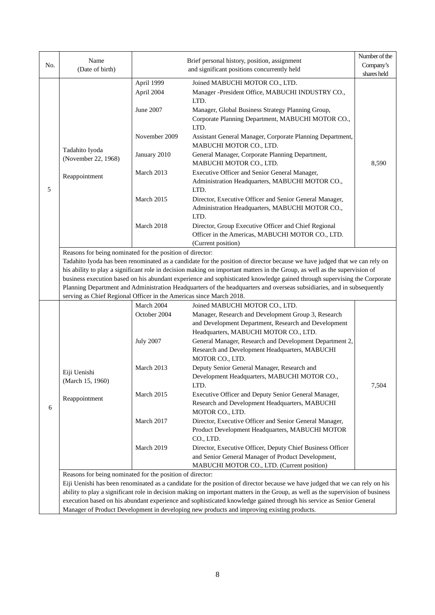|     |                                                                                            | Name<br>Brief personal history, position, assignment<br>(Date of birth)<br>and significant positions concurrently held |                                                                                                                                                                                                                                                                                                                                                                                                                                                                                                                | Number of the |  |  |  |  |
|-----|--------------------------------------------------------------------------------------------|------------------------------------------------------------------------------------------------------------------------|----------------------------------------------------------------------------------------------------------------------------------------------------------------------------------------------------------------------------------------------------------------------------------------------------------------------------------------------------------------------------------------------------------------------------------------------------------------------------------------------------------------|---------------|--|--|--|--|
| No. |                                                                                            |                                                                                                                        |                                                                                                                                                                                                                                                                                                                                                                                                                                                                                                                | Company's     |  |  |  |  |
|     |                                                                                            |                                                                                                                        |                                                                                                                                                                                                                                                                                                                                                                                                                                                                                                                | shares held   |  |  |  |  |
|     |                                                                                            | April 1999<br>April 2004                                                                                               | Joined MABUCHI MOTOR CO., LTD.<br>Manager -President Office, MABUCHI INDUSTRY CO.,<br>LTD.                                                                                                                                                                                                                                                                                                                                                                                                                     |               |  |  |  |  |
|     |                                                                                            | <b>June 2007</b>                                                                                                       | Manager, Global Business Strategy Planning Group,<br>Corporate Planning Department, MABUCHI MOTOR CO.,<br>LTD.                                                                                                                                                                                                                                                                                                                                                                                                 |               |  |  |  |  |
|     | Tadahito Iyoda                                                                             | November 2009                                                                                                          | Assistant General Manager, Corporate Planning Department,<br>MABUCHI MOTOR CO., LTD.                                                                                                                                                                                                                                                                                                                                                                                                                           |               |  |  |  |  |
|     | (November 22, 1968)                                                                        | January 2010                                                                                                           | General Manager, Corporate Planning Department,<br>MABUCHI MOTOR CO., LTD.                                                                                                                                                                                                                                                                                                                                                                                                                                     | 8,590         |  |  |  |  |
| 5   | Reappointment                                                                              | March 2013                                                                                                             | Executive Officer and Senior General Manager,<br>Administration Headquarters, MABUCHI MOTOR CO.,<br>LTD.                                                                                                                                                                                                                                                                                                                                                                                                       |               |  |  |  |  |
|     |                                                                                            | March 2015                                                                                                             | Director, Executive Officer and Senior General Manager,<br>Administration Headquarters, MABUCHI MOTOR CO.,<br>LTD.                                                                                                                                                                                                                                                                                                                                                                                             |               |  |  |  |  |
|     |                                                                                            | March 2018                                                                                                             | Director, Group Executive Officer and Chief Regional<br>Officer in the Americas, MABUCHI MOTOR CO., LTD.                                                                                                                                                                                                                                                                                                                                                                                                       |               |  |  |  |  |
|     |                                                                                            | (Current position)<br>Reasons for being nominated for the position of director:                                        |                                                                                                                                                                                                                                                                                                                                                                                                                                                                                                                |               |  |  |  |  |
|     | serving as Chief Regional Officer in the Americas since March 2018.                        |                                                                                                                        | Tadahito Iyoda has been renominated as a candidate for the position of director because we have judged that we can rely on<br>his ability to play a significant role in decision making on important matters in the Group, as well as the supervision of<br>business execution based on his abundant experience and sophisticated knowledge gained through supervising the Corporate<br>Planning Department and Administration Headquarters of the headquarters and overseas subsidiaries, and in subsequently |               |  |  |  |  |
|     |                                                                                            | March 2004                                                                                                             | Joined MABUCHI MOTOR CO., LTD.                                                                                                                                                                                                                                                                                                                                                                                                                                                                                 |               |  |  |  |  |
|     |                                                                                            | October 2004                                                                                                           | Manager, Research and Development Group 3, Research                                                                                                                                                                                                                                                                                                                                                                                                                                                            |               |  |  |  |  |
|     | Eiji Uenishi<br>(March 15, 1960)                                                           |                                                                                                                        | and Development Department, Research and Development<br>Headquarters, MABUCHI MOTOR CO., LTD.                                                                                                                                                                                                                                                                                                                                                                                                                  |               |  |  |  |  |
|     |                                                                                            | <b>July 2007</b>                                                                                                       | General Manager, Research and Development Department 2,<br>Research and Development Headquarters, MABUCHI                                                                                                                                                                                                                                                                                                                                                                                                      |               |  |  |  |  |
|     |                                                                                            | March 2013                                                                                                             | MOTOR CO., LTD.<br>Deputy Senior General Manager, Research and<br>Development Headquarters, MABUCHI MOTOR CO.<br>LTD.                                                                                                                                                                                                                                                                                                                                                                                          | 7,504         |  |  |  |  |
| 6   | Reappointment                                                                              | March 2015                                                                                                             | Executive Officer and Deputy Senior General Manager,<br>Research and Development Headquarters, MABUCHI<br>MOTOR CO., LTD.                                                                                                                                                                                                                                                                                                                                                                                      |               |  |  |  |  |
|     |                                                                                            | March 2017                                                                                                             | Director, Executive Officer and Senior General Manager,<br>Product Development Headquarters, MABUCHI MOTOR<br>CO., LTD.                                                                                                                                                                                                                                                                                                                                                                                        |               |  |  |  |  |
|     |                                                                                            | March 2019                                                                                                             | Director, Executive Officer, Deputy Chief Business Officer<br>and Senior General Manager of Product Development,<br>MABUCHI MOTOR CO., LTD. (Current position)                                                                                                                                                                                                                                                                                                                                                 |               |  |  |  |  |
|     | Reasons for being nominated for the position of director:                                  |                                                                                                                        |                                                                                                                                                                                                                                                                                                                                                                                                                                                                                                                |               |  |  |  |  |
|     |                                                                                            |                                                                                                                        | Eiji Uenishi has been renominated as a candidate for the position of director because we have judged that we can rely on his                                                                                                                                                                                                                                                                                                                                                                                   |               |  |  |  |  |
|     |                                                                                            |                                                                                                                        | ability to play a significant role in decision making on important matters in the Group, as well as the supervision of business                                                                                                                                                                                                                                                                                                                                                                                |               |  |  |  |  |
|     |                                                                                            |                                                                                                                        | execution based on his abundant experience and sophisticated knowledge gained through his service as Senior General                                                                                                                                                                                                                                                                                                                                                                                            |               |  |  |  |  |
|     | Manager of Product Development in developing new products and improving existing products. |                                                                                                                        |                                                                                                                                                                                                                                                                                                                                                                                                                                                                                                                |               |  |  |  |  |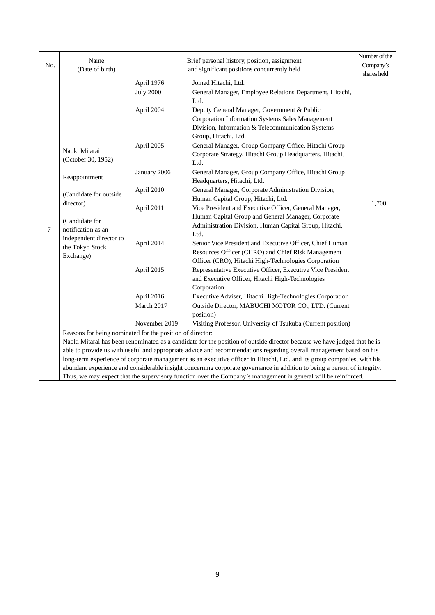|     | Name                                                                                                                | Brief personal history, position, assignment |                                                                                                                          | Number of the |  |  |
|-----|---------------------------------------------------------------------------------------------------------------------|----------------------------------------------|--------------------------------------------------------------------------------------------------------------------------|---------------|--|--|
| No. | (Date of birth)                                                                                                     |                                              | and significant positions concurrently held                                                                              | Company's     |  |  |
|     |                                                                                                                     |                                              |                                                                                                                          | shares held   |  |  |
|     |                                                                                                                     | April 1976                                   | Joined Hitachi, Ltd.                                                                                                     |               |  |  |
|     |                                                                                                                     | <b>July 2000</b>                             | General Manager, Employee Relations Department, Hitachi,                                                                 |               |  |  |
|     |                                                                                                                     |                                              | Ltd.                                                                                                                     |               |  |  |
|     |                                                                                                                     | April 2004                                   | Deputy General Manager, Government & Public                                                                              |               |  |  |
|     |                                                                                                                     |                                              | Corporation Information Systems Sales Management                                                                         |               |  |  |
|     |                                                                                                                     |                                              | Division, Information & Telecommunication Systems                                                                        |               |  |  |
|     |                                                                                                                     |                                              | Group, Hitachi, Ltd.                                                                                                     |               |  |  |
|     |                                                                                                                     | April 2005                                   | General Manager, Group Company Office, Hitachi Group -                                                                   |               |  |  |
|     | Naoki Mitarai                                                                                                       |                                              | Corporate Strategy, Hitachi Group Headquarters, Hitachi,                                                                 |               |  |  |
|     | (October 30, 1952)                                                                                                  |                                              | Ltd.                                                                                                                     |               |  |  |
|     |                                                                                                                     | January 2006                                 | General Manager, Group Company Office, Hitachi Group                                                                     |               |  |  |
|     | Reappointment                                                                                                       |                                              | Headquarters, Hitachi, Ltd.                                                                                              |               |  |  |
|     | (Candidate for outside<br>director)                                                                                 | April 2010                                   | General Manager, Corporate Administration Division,                                                                      |               |  |  |
|     |                                                                                                                     |                                              | Human Capital Group, Hitachi, Ltd.                                                                                       |               |  |  |
|     |                                                                                                                     | April 2011                                   | Vice President and Executive Officer, General Manager,                                                                   | 1,700         |  |  |
|     | (Candidate for                                                                                                      |                                              | Human Capital Group and General Manager, Corporate                                                                       |               |  |  |
| 7   | notification as an                                                                                                  |                                              | Administration Division, Human Capital Group, Hitachi,                                                                   |               |  |  |
|     | independent director to                                                                                             |                                              | Ltd.                                                                                                                     |               |  |  |
|     | the Tokyo Stock                                                                                                     | April 2014                                   | Senior Vice President and Executive Officer, Chief Human                                                                 |               |  |  |
|     | Exchange)                                                                                                           |                                              | Resources Officer (CHRO) and Chief Risk Management                                                                       |               |  |  |
|     |                                                                                                                     |                                              | Officer (CRO), Hitachi High-Technologies Corporation                                                                     |               |  |  |
|     |                                                                                                                     | April 2015                                   | Representative Executive Officer, Executive Vice President                                                               |               |  |  |
|     |                                                                                                                     |                                              | and Executive Officer, Hitachi High-Technologies                                                                         |               |  |  |
|     |                                                                                                                     |                                              | Corporation                                                                                                              |               |  |  |
|     |                                                                                                                     | April 2016                                   | Executive Adviser, Hitachi High-Technologies Corporation                                                                 |               |  |  |
|     |                                                                                                                     | March 2017                                   | Outside Director, MABUCHI MOTOR CO., LTD. (Current                                                                       |               |  |  |
|     |                                                                                                                     |                                              | position)                                                                                                                |               |  |  |
|     |                                                                                                                     | November 2019                                | Visiting Professor, University of Tsukuba (Current position)                                                             |               |  |  |
|     | Reasons for being nominated for the position of director:                                                           |                                              |                                                                                                                          |               |  |  |
|     |                                                                                                                     |                                              | Naoki Mitarai has been renominated as a candidate for the position of outside director because we have judged that he is |               |  |  |
|     | able to provide us with useful and appropriate advice and recommendations regarding overall management based on his |                                              |                                                                                                                          |               |  |  |
|     |                                                                                                                     |                                              | long-term experience of corporate management as an executive officer in Hitachi, Ltd. and its group companies, with his  |               |  |  |
|     |                                                                                                                     |                                              | abundant experience and considerable insight concerning corporate governance in addition to being a person of integrity. |               |  |  |
|     | Thus, we may expect that the supervisory function over the Company's management in general will be reinforced.      |                                              |                                                                                                                          |               |  |  |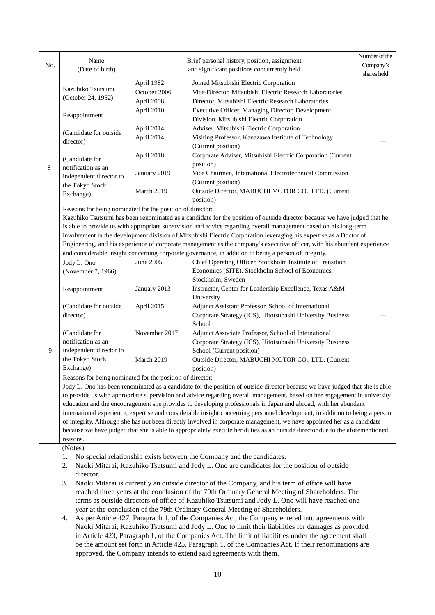|     | Name                                                      |                                                                                                                              | Brief personal history, position, assignment                                                                                 | Number of the |  |  |  |
|-----|-----------------------------------------------------------|------------------------------------------------------------------------------------------------------------------------------|------------------------------------------------------------------------------------------------------------------------------|---------------|--|--|--|
| No. | (Date of birth)                                           |                                                                                                                              | and significant positions concurrently held                                                                                  | Company's     |  |  |  |
|     |                                                           |                                                                                                                              |                                                                                                                              | shares held   |  |  |  |
|     | Kazuhiko Tsutsumi                                         | April 1982                                                                                                                   | Joined Mitsubishi Electric Corporation                                                                                       |               |  |  |  |
|     | (October 24, 1952)                                        | October 2006                                                                                                                 | Vice-Director, Mitsubishi Electric Research Laboratories                                                                     |               |  |  |  |
|     |                                                           | April 2008                                                                                                                   | Director, Mitsubishi Electric Research Laboratories                                                                          |               |  |  |  |
|     |                                                           | April 2010                                                                                                                   | Executive Officer, Managing Director, Development                                                                            |               |  |  |  |
|     | Reappointment                                             |                                                                                                                              | Division, Mitsubishi Electric Corporation                                                                                    |               |  |  |  |
|     | (Candidate for outside)                                   | April 2014                                                                                                                   | Adviser, Mitsubishi Electric Corporation                                                                                     |               |  |  |  |
|     | director)                                                 | April 2014                                                                                                                   | Visiting Professor, Kanazawa Institute of Technology                                                                         |               |  |  |  |
|     |                                                           |                                                                                                                              | (Current position)                                                                                                           |               |  |  |  |
|     | (Candidate for                                            | April 2018                                                                                                                   | Corporate Adviser, Mitsubishi Electric Corporation (Current                                                                  |               |  |  |  |
| 8   | notification as an                                        |                                                                                                                              | position)                                                                                                                    |               |  |  |  |
|     | independent director to                                   | January 2019                                                                                                                 | Vice Chairmen, International Electrotechnical Commission                                                                     |               |  |  |  |
|     | the Tokyo Stock                                           |                                                                                                                              | (Current position)                                                                                                           |               |  |  |  |
|     | Exchange)                                                 | March 2019                                                                                                                   | Outside Director, MABUCHI MOTOR CO., LTD. (Current                                                                           |               |  |  |  |
|     |                                                           |                                                                                                                              | position)                                                                                                                    |               |  |  |  |
|     | Reasons for being nominated for the position of director: |                                                                                                                              |                                                                                                                              |               |  |  |  |
|     |                                                           |                                                                                                                              | Kazuhiko Tsutsumi has been renominated as a candidate for the position of outside director because we have judged that he    |               |  |  |  |
|     |                                                           |                                                                                                                              | is able to provide us with appropriate supervision and advice regarding overall management based on his long-term            |               |  |  |  |
|     |                                                           |                                                                                                                              | involvement in the development division of Mitsubishi Electric Corporation leveraging his expertise as a Doctor of           |               |  |  |  |
|     |                                                           |                                                                                                                              | Engineering, and his experience of corporate management as the company's executive officer, with his abundant experience     |               |  |  |  |
|     |                                                           |                                                                                                                              | and considerable insight concerning corporate governance, in addition to being a person of integrity.                        |               |  |  |  |
|     | Jody L. Ono                                               | June 2005                                                                                                                    | Chief Operating Officer, Stockholm Institute of Transition                                                                   |               |  |  |  |
|     | (November 7, 1966)                                        |                                                                                                                              | Economics (SITE), Stockholm School of Economics,                                                                             |               |  |  |  |
|     |                                                           |                                                                                                                              | Stockholm, Sweden                                                                                                            |               |  |  |  |
|     | Reappointment                                             | January 2013                                                                                                                 | Instructor, Center for Leadership Excellence, Texas A&M                                                                      |               |  |  |  |
|     |                                                           |                                                                                                                              | University                                                                                                                   |               |  |  |  |
|     | (Candidate for outside                                    | April 2015                                                                                                                   | Adjunct Assistant Professor, School of International                                                                         |               |  |  |  |
|     | director)                                                 |                                                                                                                              | Corporate Strategy (ICS), Hitotsubashi University Business                                                                   |               |  |  |  |
|     |                                                           |                                                                                                                              | School                                                                                                                       |               |  |  |  |
|     | (Candidate for                                            | November 2017                                                                                                                | Adjunct Associate Professor, School of International                                                                         |               |  |  |  |
|     | notification as an                                        |                                                                                                                              | Corporate Strategy (ICS), Hitotsubashi University Business                                                                   |               |  |  |  |
| 9   | independent director to                                   |                                                                                                                              | School (Current position)                                                                                                    |               |  |  |  |
|     | the Tokyo Stock                                           | March 2019                                                                                                                   | Outside Director, MABUCHI MOTOR CO., LTD. (Current                                                                           |               |  |  |  |
|     | Exchange)                                                 |                                                                                                                              | position)                                                                                                                    |               |  |  |  |
|     | Reasons for being nominated for the position of director: |                                                                                                                              |                                                                                                                              |               |  |  |  |
|     |                                                           | Jody L. Ono has been renominated as a candidate for the position of outside director because we have judged that she is able |                                                                                                                              |               |  |  |  |
|     |                                                           |                                                                                                                              | to provide us with appropriate supervision and advice regarding overall management, based on her engagement in university    |               |  |  |  |
|     |                                                           | education and the encouragement she provides to developing professionals in Japan and abroad, with her abundant              |                                                                                                                              |               |  |  |  |
|     |                                                           |                                                                                                                              | international experience, expertise and considerable insight concerning personnel development, in addition to being a person |               |  |  |  |
|     |                                                           |                                                                                                                              | of integrity. Although she has not been directly involved in corporate management, we have appointed her as a candidate      |               |  |  |  |
|     |                                                           | because we have judged that she is able to appropriately execute her duties as an outside director due to the aforementioned |                                                                                                                              |               |  |  |  |
|     | reasons.                                                  |                                                                                                                              |                                                                                                                              |               |  |  |  |
|     | (Notes)                                                   |                                                                                                                              |                                                                                                                              |               |  |  |  |

- 1. No special relationship exists between the Company and the candidates.
- 2. Naoki Mitarai, Kazuhiko Tsutsumi and Jody L. Ono are candidates for the position of outside director.
- 3. Naoki Mitarai is currently an outside director of the Company, and his term of office will have reached three years at the conclusion of the 79th Ordinary General Meeting of Shareholders. The terms as outside directors of office of Kazuhiko Tsutsumi and Jody L. Ono will have reached one year at the conclusion of the 79th Ordinary General Meeting of Shareholders.
- 4. As per Article 427, Paragraph 1, of the Companies Act, the Company entered into agreements with Naoki Mitarai, Kazuhiko Tsutsumi and Jody L. Ono to limit their liabilities for damages as provided in Article 423, Paragraph 1, of the Companies Act. The limit of liabilities under the agreement shall be the amount set forth in Article 425, Paragraph 1, of the Companies Act. If their renominations are approved, the Company intends to extend said agreements with them.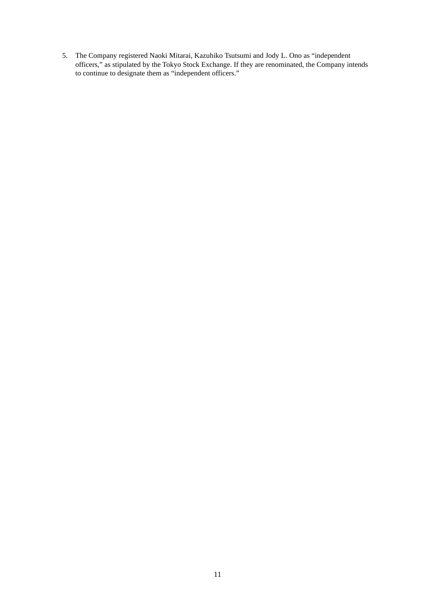5. The Company registered Naoki Mitarai, Kazuhiko Tsutsumi and Jody L. Ono as "independent officers," as stipulated by the Tokyo Stock Exchange. If they are renominated, the Company intends to continue to designate them as "independent officers."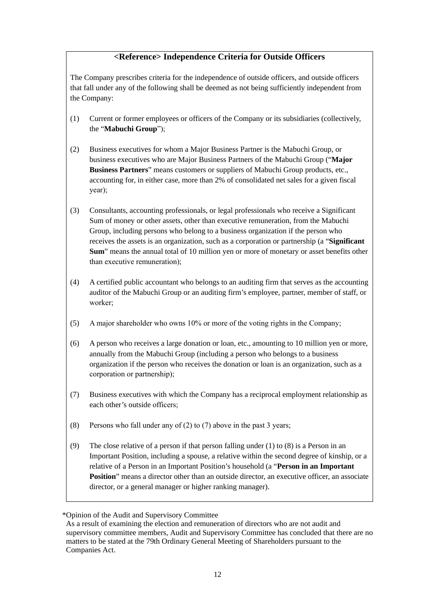# **<Reference> Independence Criteria for Outside Officers**

The Company prescribes criteria for the independence of outside officers, and outside officers that fall under any of the following shall be deemed as not being sufficiently independent from the Company:

- (1) Current or former employees or officers of the Company or its subsidiaries (collectively, the "**Mabuchi Group**");
- (2) Business executives for whom a Major Business Partner is the Mabuchi Group, or business executives who are Major Business Partners of the Mabuchi Group ("**Major Business Partners**" means customers or suppliers of Mabuchi Group products, etc., accounting for, in either case, more than 2% of consolidated net sales for a given fiscal year);
- (3) Consultants, accounting professionals, or legal professionals who receive a Significant Sum of money or other assets, other than executive remuneration, from the Mabuchi Group, including persons who belong to a business organization if the person who receives the assets is an organization, such as a corporation or partnership (a "**Significant Sum**" means the annual total of 10 million yen or more of monetary or asset benefits other than executive remuneration);
- (4) A certified public accountant who belongs to an auditing firm that serves as the accounting auditor of the Mabuchi Group or an auditing firm's employee, partner, member of staff, or worker;
- (5) A major shareholder who owns 10% or more of the voting rights in the Company;
- (6) A person who receives a large donation or loan, etc., amounting to 10 million yen or more, annually from the Mabuchi Group (including a person who belongs to a business organization if the person who receives the donation or loan is an organization, such as a corporation or partnership);
- (7) Business executives with which the Company has a reciprocal employment relationship as each other's outside officers;
- (8) Persons who fall under any of (2) to (7) above in the past 3 years;
- (9) The close relative of a person if that person falling under (1) to (8) is a Person in an Important Position, including a spouse, a relative within the second degree of kinship, or a relative of a Person in an Important Position's household (a "**Person in an Important Position**" means a director other than an outside director, an executive officer, an associate director, or a general manager or higher ranking manager).

<sup>\*</sup>Opinion of the Audit and Supervisory Committee

As a result of examining the election and remuneration of directors who are not audit and supervisory committee members, Audit and Supervisory Committee has concluded that there are no matters to be stated at the 79th Ordinary General Meeting of Shareholders pursuant to the Companies Act.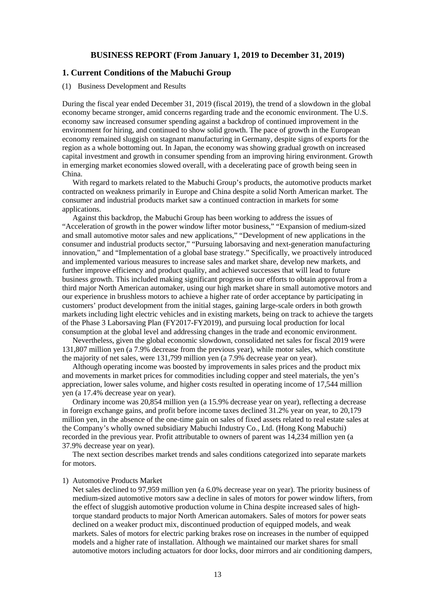## **BUSINESS REPORT (From January 1, 2019 to December 31, 2019)**

## **1. Current Conditions of the Mabuchi Group**

#### (1) Business Development and Results

During the fiscal year ended December 31, 2019 (fiscal 2019), the trend of a slowdown in the global economy became stronger, amid concerns regarding trade and the economic environment. The U.S. economy saw increased consumer spending against a backdrop of continued improvement in the environment for hiring, and continued to show solid growth. The pace of growth in the European economy remained sluggish on stagnant manufacturing in Germany, despite signs of exports for the region as a whole bottoming out. In Japan, the economy was showing gradual growth on increased capital investment and growth in consumer spending from an improving hiring environment. Growth in emerging market economies slowed overall, with a decelerating pace of growth being seen in China.

With regard to markets related to the Mabuchi Group's products, the automotive products market contracted on weakness primarily in Europe and China despite a solid North American market. The consumer and industrial products market saw a continued contraction in markets for some applications.

Against this backdrop, the Mabuchi Group has been working to address the issues of "Acceleration of growth in the power window lifter motor business," "Expansion of medium-sized and small automotive motor sales and new applications," "Development of new applications in the consumer and industrial products sector," "Pursuing laborsaving and next-generation manufacturing innovation," and "Implementation of a global base strategy." Specifically, we proactively introduced and implemented various measures to increase sales and market share, develop new markets, and further improve efficiency and product quality, and achieved successes that will lead to future business growth. This included making significant progress in our efforts to obtain approval from a third major North American automaker, using our high market share in small automotive motors and our experience in brushless motors to achieve a higher rate of order acceptance by participating in customers' product development from the initial stages, gaining large-scale orders in both growth markets including light electric vehicles and in existing markets, being on track to achieve the targets of the Phase 3 Laborsaving Plan (FY2017-FY2019), and pursuing local production for local consumption at the global level and addressing changes in the trade and economic environment.

Nevertheless, given the global economic slowdown, consolidated net sales for fiscal 2019 were 131,807 million yen (a 7.9% decrease from the previous year), while motor sales, which constitute the majority of net sales, were 131,799 million yen (a 7.9% decrease year on year).

Although operating income was boosted by improvements in sales prices and the product mix and movements in market prices for commodities including copper and steel materials, the yen's appreciation, lower sales volume, and higher costs resulted in operating income of 17,544 million yen (a 17.4% decrease year on year).

Ordinary income was 20,854 million yen (a 15.9% decrease year on year), reflecting a decrease in foreign exchange gains, and profit before income taxes declined 31.2% year on year, to 20,179 million yen, in the absence of the one-time gain on sales of fixed assets related to real estate sales at the Company's wholly owned subsidiary Mabuchi Industry Co., Ltd. (Hong Kong Mabuchi) recorded in the previous year. Profit attributable to owners of parent was 14,234 million yen (a 37.9% decrease year on year).

The next section describes market trends and sales conditions categorized into separate markets for motors.

#### 1) Automotive Products Market

Net sales declined to 97,959 million yen (a 6.0% decrease year on year). The priority business of medium-sized automotive motors saw a decline in sales of motors for power window lifters, from the effect of sluggish automotive production volume in China despite increased sales of hightorque standard products to major North American automakers. Sales of motors for power seats declined on a weaker product mix, discontinued production of equipped models, and weak markets. Sales of motors for electric parking brakes rose on increases in the number of equipped models and a higher rate of installation. Although we maintained our market shares for small automotive motors including actuators for door locks, door mirrors and air conditioning dampers,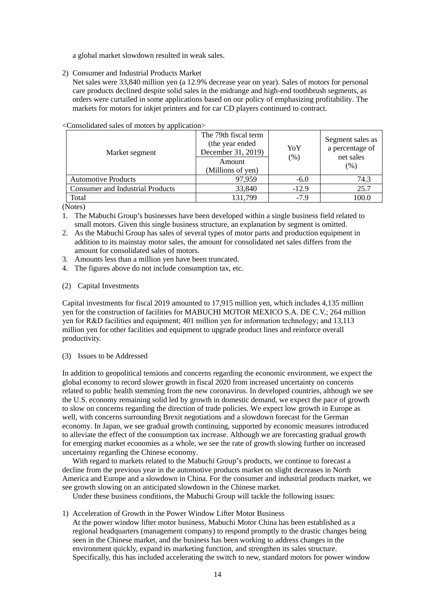a global market slowdown resulted in weak sales.

2) Consumer and Industrial Products Market

Net sales were 33,840 million yen (a 12.9% decrease year on year). Sales of motors for personal care products declined despite solid sales in the midrange and high-end toothbrush segments, as orders were curtailed in some applications based on our policy of emphasizing profitability. The markets for motors for inkjet printers and for car CD players continued to contract.

| Market segment                          | The 79th fiscal term<br>(the year ended<br>December 31, 2019)<br>Amount<br>(Millions of yen) | YoY<br>(% ) | Segment sales as<br>a percentage of<br>net sales<br>(%) |
|-----------------------------------------|----------------------------------------------------------------------------------------------|-------------|---------------------------------------------------------|
| <b>Automotive Products</b>              | 97,959                                                                                       | $-6.0$      | 74.3                                                    |
| <b>Consumer and Industrial Products</b> | 33,840                                                                                       | $-12.9$     | 25.7                                                    |
| Total                                   | 131,799                                                                                      | $-7.9$      | 100.0                                                   |

<Consolidated sales of motors by application>

(Notes)

- 1. The Mabuchi Group's businesses have been developed within a single business field related to small motors. Given this single business structure, an explanation by segment is omitted.
- 2. As the Mabuchi Group has sales of several types of motor parts and production equipment in addition to its mainstay motor sales, the amount for consolidated net sales differs from the amount for consolidated sales of motors.
- 3. Amounts less than a million yen have been truncated.
- 4. The figures above do not include consumption tax, etc.
- (2) Capital Investments

Capital investments for fiscal 2019 amounted to 17,915 million yen, which includes 4,135 million yen for the construction of facilities for MABUCHI MOTOR MEXICO S.A. DE C.V.; 264 million yen for R&D facilities and equipment; 401 million yen for information technology; and 13,113 million yen for other facilities and equipment to upgrade product lines and reinforce overall productivity.

#### (3) Issues to be Addressed

In addition to geopolitical tensions and concerns regarding the economic environment, we expect the global economy to record slower growth in fiscal 2020 from increased uncertainty on concerns related to public health stemming from the new coronavirus. In developed countries, although we see the U.S. economy remaining solid led by growth in domestic demand, we expect the pace of growth to slow on concerns regarding the direction of trade policies. We expect low growth in Europe as well, with concerns surrounding Brexit negotiations and a slowdown forecast for the German economy. In Japan, we see gradual growth continuing, supported by economic measures introduced to alleviate the effect of the consumption tax increase. Although we are forecasting gradual growth for emerging market economies as a whole, we see the rate of growth slowing further on increased uncertainty regarding the Chinese economy.

With regard to markets related to the Mabuchi Group's products, we continue to forecast a decline from the previous year in the automotive products market on slight decreases in North America and Europe and a slowdown in China. For the consumer and industrial products market, we see growth slowing on an anticipated slowdown in the Chinese market.

Under these business conditions, the Mabuchi Group will tackle the following issues:

1) Acceleration of Growth in the Power Window Lifter Motor Business

At the power window lifter motor business, Mabuchi Motor China has been established as a regional headquarters (management company) to respond promptly to the drastic changes being seen in the Chinese market, and the business has been working to address changes in the environment quickly, expand its marketing function, and strengthen its sales structure. Specifically, this has included accelerating the switch to new, standard motors for power window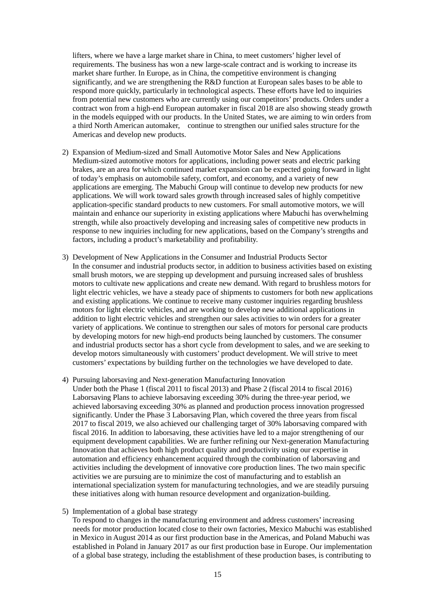lifters, where we have a large market share in China, to meet customers' higher level of requirements. The business has won a new large-scale contract and is working to increase its market share further. In Europe, as in China, the competitive environment is changing significantly, and we are strengthening the R&D function at European sales bases to be able to respond more quickly, particularly in technological aspects. These efforts have led to inquiries from potential new customers who are currently using our competitors' products. Orders under a contract won from a high-end European automaker in fiscal 2018 are also showing steady growth in the models equipped with our products. In the United States, we are aiming to win orders from a third North American automaker, continue to strengthen our unified sales structure for the Americas and develop new products.

- 2) Expansion of Medium-sized and Small Automotive Motor Sales and New Applications Medium-sized automotive motors for applications, including power seats and electric parking brakes, are an area for which continued market expansion can be expected going forward in light of today's emphasis on automobile safety, comfort, and economy, and a variety of new applications are emerging. The Mabuchi Group will continue to develop new products for new applications. We will work toward sales growth through increased sales of highly competitive application-specific standard products to new customers. For small automotive motors, we will maintain and enhance our superiority in existing applications where Mabuchi has overwhelming strength, while also proactively developing and increasing sales of competitive new products in response to new inquiries including for new applications, based on the Company's strengths and factors, including a product's marketability and profitability.
- 3) Development of New Applications in the Consumer and Industrial Products Sector In the consumer and industrial products sector, in addition to business activities based on existing small brush motors, we are stepping up development and pursuing increased sales of brushless motors to cultivate new applications and create new demand. With regard to brushless motors for light electric vehicles, we have a steady pace of shipments to customers for both new applications and existing applications. We continue to receive many customer inquiries regarding brushless motors for light electric vehicles, and are working to develop new additional applications in addition to light electric vehicles and strengthen our sales activities to win orders for a greater variety of applications. We continue to strengthen our sales of motors for personal care products by developing motors for new high-end products being launched by customers. The consumer and industrial products sector has a short cycle from development to sales, and we are seeking to develop motors simultaneously with customers' product development. We will strive to meet customers' expectations by building further on the technologies we have developed to date.
- 4) Pursuing laborsaving and Next-generation Manufacturing Innovation Under both the Phase 1 (fiscal 2011 to fiscal 2013) and Phase 2 (fiscal 2014 to fiscal 2016) Laborsaving Plans to achieve laborsaving exceeding 30% during the three-year period, we achieved laborsaving exceeding 30% as planned and production process innovation progressed significantly. Under the Phase 3 Laborsaving Plan, which covered the three years from fiscal 2017 to fiscal 2019, we also achieved our challenging target of 30% laborsaving compared with fiscal 2016. In addition to laborsaving, these activities have led to a major strengthening of our equipment development capabilities. We are further refining our Next-generation Manufacturing Innovation that achieves both high product quality and productivity using our expertise in automation and efficiency enhancement acquired through the combination of laborsaving and activities including the development of innovative core production lines. The two main specific activities we are pursuing are to minimize the cost of manufacturing and to establish an international specialization system for manufacturing technologies, and we are steadily pursuing these initiatives along with human resource development and organization-building.
- 5) Implementation of a global base strategy

To respond to changes in the manufacturing environment and address customers' increasing needs for motor production located close to their own factories, Mexico Mabuchi was established in Mexico in August 2014 as our first production base in the Americas, and Poland Mabuchi was established in Poland in January 2017 as our first production base in Europe. Our implementation of a global base strategy, including the establishment of these production bases, is contributing to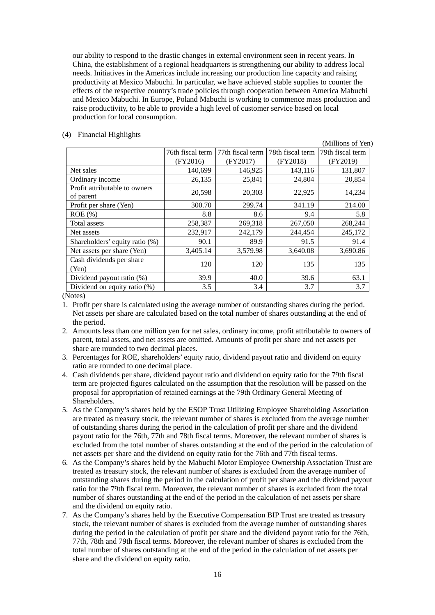our ability to respond to the drastic changes in external environment seen in recent years. In China, the establishment of a regional headquarters is strengthening our ability to address local needs. Initiatives in the Americas include increasing our production line capacity and raising productivity at Mexico Mabuchi. In particular, we have achieved stable supplies to counter the effects of the respective country's trade policies through cooperation between America Mabuchi and Mexico Mabuchi. In Europe, Poland Mabuchi is working to commence mass production and raise productivity, to be able to provide a high level of customer service based on local production for local consumption.

### (4) Financial Highlights

(Millions of Yen) 76th fiscal term (FY2016) 77th fiscal term (FY2017) 78th fiscal term (FY2018) 79th fiscal term (FY2019) Net sales 140,699 146,925 143,116 131,807 Ordinary income 26,135 25,841 24,804 20,854 Profit attributable to owners of parent 20,598 20,598 20,303 22,925 14,234 Profit per share (Yen) 300.70 299.74 341.19 214.00 ROE (%)  $8.8$  8.6 9.4 5.8 Total assets 258,387 269,318 267,050 268,244 Net assets 232,917 242,179 244,454 245,172 Shareholders' equity ratio (%)  $\vert$  90.1 99.9 91.5 91.4 Net assets per share (Yen) 3,405.14 3,579.98 3,640.08 3,690.86 Cash dividends per share (Yen)  $120 \begin{vmatrix} 120 & 120 \end{vmatrix}$  135 135 Dividend payout ratio (%)  $\begin{array}{|c|c|c|c|c|c|c|c|} \hline \end{array}$  39.9 40.0 39.6 53.1 Dividend on equity ratio (%)  $\begin{array}{ccc} 3.5 & 3.4 & 3.7 & 3.7 \end{array}$  3.7

(Notes)

- 1. Profit per share is calculated using the average number of outstanding shares during the period. Net assets per share are calculated based on the total number of shares outstanding at the end of the period.
- 2. Amounts less than one million yen for net sales, ordinary income, profit attributable to owners of parent, total assets, and net assets are omitted. Amounts of profit per share and net assets per share are rounded to two decimal places.
- 3. Percentages for ROE, shareholders' equity ratio, dividend payout ratio and dividend on equity ratio are rounded to one decimal place.
- 4. Cash dividends per share, dividend payout ratio and dividend on equity ratio for the 79th fiscal term are projected figures calculated on the assumption that the resolution will be passed on the proposal for appropriation of retained earnings at the 79th Ordinary General Meeting of Shareholders.
- 5. As the Company's shares held by the ESOP Trust Utilizing Employee Shareholding Association are treated as treasury stock, the relevant number of shares is excluded from the average number of outstanding shares during the period in the calculation of profit per share and the dividend payout ratio for the 76th, 77th and 78th fiscal terms. Moreover, the relevant number of shares is excluded from the total number of shares outstanding at the end of the period in the calculation of net assets per share and the dividend on equity ratio for the 76th and 77th fiscal terms.
- 6. As the Company's shares held by the Mabuchi Motor Employee Ownership Association Trust are treated as treasury stock, the relevant number of shares is excluded from the average number of outstanding shares during the period in the calculation of profit per share and the dividend payout ratio for the 79th fiscal term. Moreover, the relevant number of shares is excluded from the total number of shares outstanding at the end of the period in the calculation of net assets per share and the dividend on equity ratio.
- 7. As the Company's shares held by the Executive Compensation BIP Trust are treated as treasury stock, the relevant number of shares is excluded from the average number of outstanding shares during the period in the calculation of profit per share and the dividend payout ratio for the 76th, 77th, 78th and 79th fiscal terms. Moreover, the relevant number of shares is excluded from the total number of shares outstanding at the end of the period in the calculation of net assets per share and the dividend on equity ratio.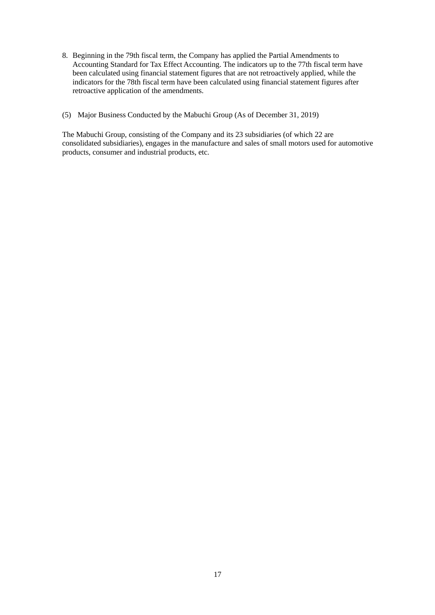- 8. Beginning in the 79th fiscal term, the Company has applied the Partial Amendments to Accounting Standard for Tax Effect Accounting. The indicators up to the 77th fiscal term have been calculated using financial statement figures that are not retroactively applied, while the indicators for the 78th fiscal term have been calculated using financial statement figures after retroactive application of the amendments.
- (5) Major Business Conducted by the Mabuchi Group (As of December 31, 2019)

The Mabuchi Group, consisting of the Company and its 23 subsidiaries (of which 22 are consolidated subsidiaries), engages in the manufacture and sales of small motors used for automotive products, consumer and industrial products, etc.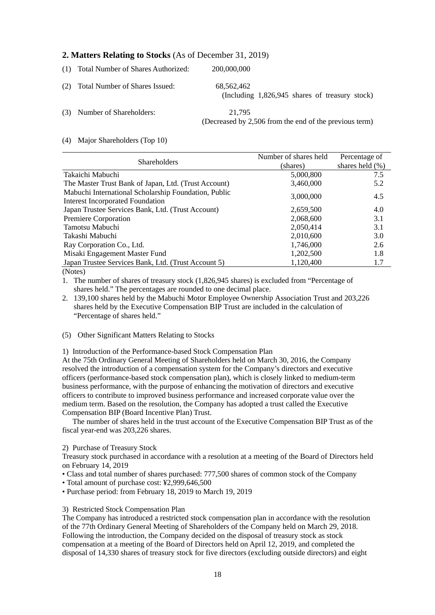# **2. Matters Relating to Stocks** (As of December 31, 2019)

|     | (1) Total Number of Shares Authorized: | 200,000,000                                                      |
|-----|----------------------------------------|------------------------------------------------------------------|
| (2) | <b>Total Number of Shares Issued:</b>  | 68,562,462<br>(Including 1,826,945 shares of treasury stock)     |
|     | (3) Number of Shareholders:            | 21,795<br>(Decreased by 2,506 from the end of the previous term) |

### (4) Major Shareholders (Top 10)

|                                                                                                 | Number of shares held | Percentage of       |
|-------------------------------------------------------------------------------------------------|-----------------------|---------------------|
| <b>Shareholders</b>                                                                             | (shares)              | shares held $(\% )$ |
| Takaichi Mabuchi                                                                                | 5,000,800             | 7.5                 |
| The Master Trust Bank of Japan, Ltd. (Trust Account)                                            | 3,460,000             | 5.2                 |
| Mabuchi International Scholarship Foundation, Public<br><b>Interest Incorporated Foundation</b> | 3,000,000             | 4.5                 |
| Japan Trustee Services Bank, Ltd. (Trust Account)                                               | 2,659,500             | 4.0                 |
| Premiere Corporation                                                                            | 2,068,600             | 3.1                 |
| Tamotsu Mabuchi                                                                                 | 2,050,414             | 3.1                 |
| Takashi Mabuchi                                                                                 | 2,010,600             | 3.0                 |
| Ray Corporation Co., Ltd.                                                                       | 1,746,000             | 2.6                 |
| Misaki Engagement Master Fund                                                                   | 1,202,500             | 1.8                 |
| Japan Trustee Services Bank, Ltd. (Trust Account 5)                                             | 1,120,400             | 1.7                 |
|                                                                                                 |                       |                     |

(Notes)

1. The number of shares of treasury stock (1,826,945 shares) is excluded from "Percentage of shares held." The percentages are rounded to one decimal place.

2. 139,100 shares held by the Mabuchi Motor Employee Ownership Association Trust and 203,226 shares held by the Executive Compensation BIP Trust are included in the calculation of "Percentage of shares held."

### (5) Other Significant Matters Relating to Stocks

1) Introduction of the Performance-based Stock Compensation Plan

At the 75th Ordinary General Meeting of Shareholders held on March 30, 2016, the Company resolved the introduction of a compensation system for the Company's directors and executive officers (performance-based stock compensation plan), which is closely linked to medium-term business performance, with the purpose of enhancing the motivation of directors and executive officers to contribute to improved business performance and increased corporate value over the medium term. Based on the resolution, the Company has adopted a trust called the Executive Compensation BIP (Board Incentive Plan) Trust.

The number of shares held in the trust account of the Executive Compensation BIP Trust as of the fiscal year-end was 203,226 shares.

#### 2) Purchase of Treasury Stock

Treasury stock purchased in accordance with a resolution at a meeting of the Board of Directors held on February 14, 2019

- Class and total number of shares purchased: 777,500 shares of common stock of the Company
- Total amount of purchase cost: ¥2,999,646,500
- Purchase period: from February 18, 2019 to March 19, 2019

### 3) Restricted Stock Compensation Plan

The Company has introduced a restricted stock compensation plan in accordance with the resolution of the 77th Ordinary General Meeting of Shareholders of the Company held on March 29, 2018. Following the introduction, the Company decided on the disposal of treasury stock as stock compensation at a meeting of the Board of Directors held on April 12, 2019, and completed the disposal of 14,330 shares of treasury stock for five directors (excluding outside directors) and eight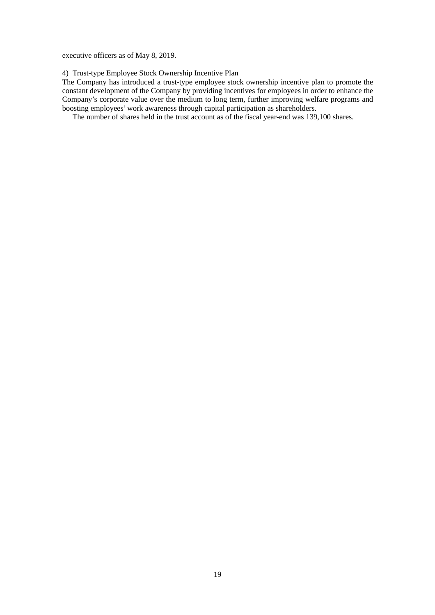executive officers as of May 8, 2019.

4) Trust-type Employee Stock Ownership Incentive Plan

The Company has introduced a trust-type employee stock ownership incentive plan to promote the constant development of the Company by providing incentives for employees in order to enhance the Company's corporate value over the medium to long term, further improving welfare programs and boosting employees' work awareness through capital participation as shareholders.

The number of shares held in the trust account as of the fiscal year-end was 139,100 shares.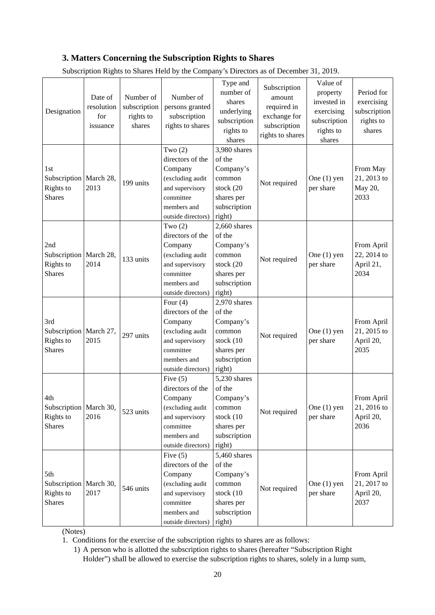# **3. Matters Concerning the Subscription Rights to Shares**

| Designation                                                   | Date of<br>resolution<br>for<br>issuance | Number of<br>subscription<br>rights to<br>shares | Number of<br>persons granted<br>subscription<br>rights to shares                                                                   | Type and<br>number of<br>shares<br>underlying<br>subscription<br>rights to<br>shares                 | Subscription<br>amount<br>required in<br>exchange for<br>subscription<br>rights to shares | Value of<br>property<br>invested in<br>exercising<br>subscription<br>rights to<br>shares | Period for<br>exercising<br>subscription<br>rights to<br>shares |
|---------------------------------------------------------------|------------------------------------------|--------------------------------------------------|------------------------------------------------------------------------------------------------------------------------------------|------------------------------------------------------------------------------------------------------|-------------------------------------------------------------------------------------------|------------------------------------------------------------------------------------------|-----------------------------------------------------------------|
| 1st<br>Subscription   March 28,<br>Rights to<br><b>Shares</b> | 2013                                     | 199 units                                        | Two $(2)$<br>directors of the<br>Company<br>(excluding audit<br>and supervisory<br>committee<br>members and<br>outside directors)  | 3,980 shares<br>of the<br>Company's<br>common<br>stock (20<br>shares per<br>subscription<br>right)   | Not required                                                                              | One $(1)$ yen<br>per share                                                               | From May<br>21, 2013 to<br>May 20,<br>2033                      |
| 2nd<br>Subscription   March 28,<br>Rights to<br><b>Shares</b> | 2014                                     | 133 units                                        | Two $(2)$<br>directors of the<br>Company<br>(excluding audit<br>and supervisory<br>committee<br>members and<br>outside directors)  | $2,660$ shares<br>of the<br>Company's<br>common<br>stock (20<br>shares per<br>subscription<br>right) | Not required                                                                              | One $(1)$ yen<br>per share                                                               | From April<br>22, 2014 to<br>April 21,<br>2034                  |
| 3rd<br>Subscription March 27,<br>Rights to<br><b>Shares</b>   | 2015                                     | 297 units                                        | Four $(4)$<br>directors of the<br>Company<br>(excluding audit<br>and supervisory<br>committee<br>members and<br>outside directors) | 2,970 shares<br>of the<br>Company's<br>common<br>stock (10<br>shares per<br>subscription<br>right)   | Not required                                                                              | One $(1)$ yen<br>per share                                                               | From April<br>21, 2015 to<br>April 20,<br>2035                  |
| 4th<br>Subscription   March 30,<br>Rights to<br><b>Shares</b> | 2016                                     | 523 units                                        | Five $(5)$<br>directors of the<br>Company<br>(excluding audit<br>and supervisory<br>committee<br>members and<br>outside directors) | 5,230 shares<br>of the<br>Company's<br>common<br>stock (10<br>shares per<br>subscription<br>right)   | Not required                                                                              | One $(1)$ yen<br>per share                                                               | From April<br>21, 2016 to<br>April 20,<br>2036                  |
| 5th<br>Subscription   March 30,<br>Rights to<br><b>Shares</b> | 2017                                     | 546 units                                        | Five $(5)$<br>directors of the<br>Company<br>(excluding audit<br>and supervisory<br>committee<br>members and<br>outside directors) | 5,460 shares<br>of the<br>Company's<br>common<br>stock (10<br>shares per<br>subscription<br>right)   | Not required                                                                              | One $(1)$ yen<br>per share                                                               | From April<br>21, 2017 to<br>April 20,<br>2037                  |

Subscription Rights to Shares Held by the Company's Directors as of December 31, 2019.

(Notes)

1. Conditions for the exercise of the subscription rights to shares are as follows:

1) A person who is allotted the subscription rights to shares (hereafter "Subscription Right Holder") shall be allowed to exercise the subscription rights to shares, solely in a lump sum,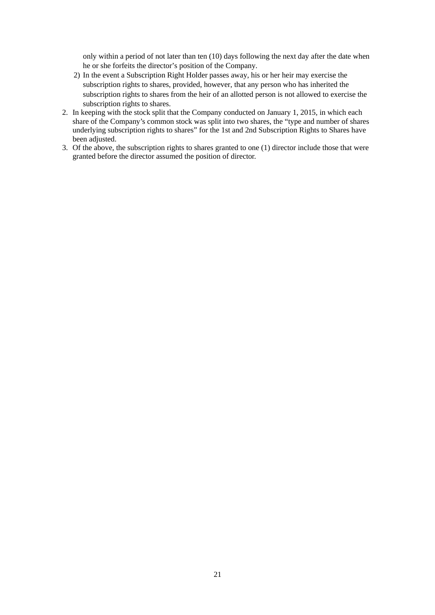only within a period of not later than ten (10) days following the next day after the date when he or she forfeits the director's position of the Company.

- 2) In the event a Subscription Right Holder passes away, his or her heir may exercise the subscription rights to shares, provided, however, that any person who has inherited the subscription rights to shares from the heir of an allotted person is not allowed to exercise the subscription rights to shares.
- 2. In keeping with the stock split that the Company conducted on January 1, 2015, in which each share of the Company's common stock was split into two shares, the "type and number of shares underlying subscription rights to shares" for the 1st and 2nd Subscription Rights to Shares have been adjusted.
- 3. Of the above, the subscription rights to shares granted to one (1) director include those that were granted before the director assumed the position of director.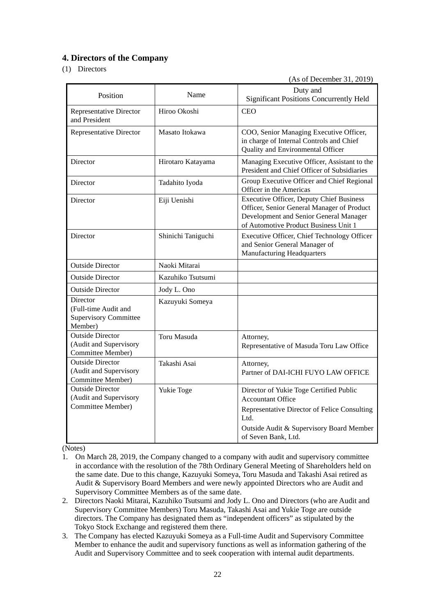# **4. Directors of the Company**

## (1) Directors

(As of December 31, 2019)

| Name<br>Position                                                              |                    | Duty and<br><b>Significant Positions Concurrently Held</b>                                                                                                                                     |
|-------------------------------------------------------------------------------|--------------------|------------------------------------------------------------------------------------------------------------------------------------------------------------------------------------------------|
| <b>Representative Director</b><br>and President                               | Hiroo Okoshi       | <b>CEO</b>                                                                                                                                                                                     |
| <b>Representative Director</b>                                                | Masato Itokawa     | COO, Senior Managing Executive Officer,<br>in charge of Internal Controls and Chief<br>Quality and Environmental Officer                                                                       |
| Director                                                                      | Hirotaro Katayama  | Managing Executive Officer, Assistant to the<br>President and Chief Officer of Subsidiaries                                                                                                    |
| Director                                                                      | Tadahito Iyoda     | Group Executive Officer and Chief Regional<br>Officer in the Americas                                                                                                                          |
| Director                                                                      | Eiji Uenishi       | <b>Executive Officer, Deputy Chief Business</b><br>Officer, Senior General Manager of Product<br>Development and Senior General Manager<br>of Automotive Product Business Unit 1               |
| Director                                                                      | Shinichi Taniguchi | Executive Officer, Chief Technology Officer<br>and Senior General Manager of<br><b>Manufacturing Headquarters</b>                                                                              |
| <b>Outside Director</b>                                                       | Naoki Mitarai      |                                                                                                                                                                                                |
| <b>Outside Director</b>                                                       | Kazuhiko Tsutsumi  |                                                                                                                                                                                                |
| <b>Outside Director</b>                                                       | Jody L. Ono        |                                                                                                                                                                                                |
| Director<br>(Full-time Audit and<br><b>Supervisory Committee</b><br>Member)   | Kazuyuki Someya    |                                                                                                                                                                                                |
| <b>Outside Director</b><br>(Audit and Supervisory<br>Committee Member)        | Toru Masuda        | Attorney,<br>Representative of Masuda Toru Law Office                                                                                                                                          |
| <b>Outside Director</b><br>(Audit and Supervisory<br><b>Committee Member)</b> | Takashi Asai       | Attorney,<br>Partner of DAI-ICHI FUYO LAW OFFICE                                                                                                                                               |
| <b>Outside Director</b><br>(Audit and Supervisory<br>Committee Member)        | Yukie Toge         | Director of Yukie Toge Certified Public<br><b>Accountant Office</b><br>Representative Director of Felice Consulting<br>Ltd.<br>Outside Audit & Supervisory Board Member<br>of Seven Bank, Ltd. |

(Notes)

- 1. On March 28, 2019, the Company changed to a company with audit and supervisory committee in accordance with the resolution of the 78th Ordinary General Meeting of Shareholders held on the same date. Due to this change, Kazuyuki Someya, Toru Masuda and Takashi Asai retired as Audit & Supervisory Board Members and were newly appointed Directors who are Audit and Supervisory Committee Members as of the same date.
- 2. Directors Naoki Mitarai, Kazuhiko Tsutsumi and Jody L. Ono and Directors (who are Audit and Supervisory Committee Members) Toru Masuda, Takashi Asai and Yukie Toge are outside directors. The Company has designated them as "independent officers" as stipulated by the Tokyo Stock Exchange and registered them there.
- 3. The Company has elected Kazuyuki Someya as a Full-time Audit and Supervisory Committee Member to enhance the audit and supervisory functions as well as information gathering of the Audit and Supervisory Committee and to seek cooperation with internal audit departments.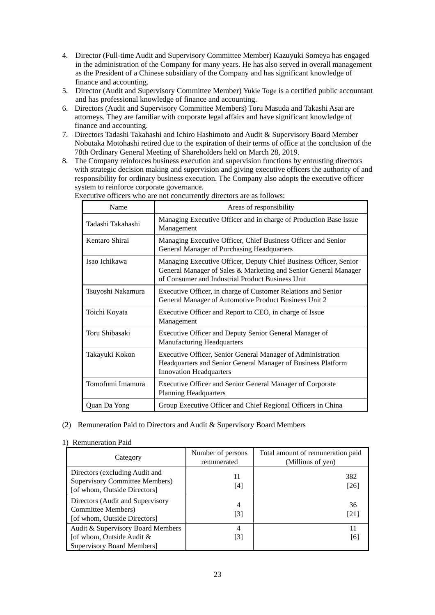- 4. Director (Full-time Audit and Supervisory Committee Member) Kazuyuki Someya has engaged in the administration of the Company for many years. He has also served in overall management as the President of a Chinese subsidiary of the Company and has significant knowledge of finance and accounting.
- 5. Director (Audit and Supervisory Committee Member) Yukie Toge is a certified public accountant and has professional knowledge of finance and accounting.
- 6. Directors (Audit and Supervisory Committee Members) Toru Masuda and Takashi Asai are attorneys. They are familiar with corporate legal affairs and have significant knowledge of finance and accounting.
- 7. Directors Tadashi Takahashi and Ichiro Hashimoto and Audit & Supervisory Board Member Nobutaka Motohashi retired due to the expiration of their terms of office at the conclusion of the 78th Ordinary General Meeting of Shareholders held on March 28, 2019.
- 8. The Company reinforces business execution and supervision functions by entrusting directors with strategic decision making and supervision and giving executive officers the authority of and responsibility for ordinary business execution. The Company also adopts the executive officer system to reinforce corporate governance.

| Name              | Areas of responsibility                                                                                                                                                                  |
|-------------------|------------------------------------------------------------------------------------------------------------------------------------------------------------------------------------------|
| Tadashi Takahashi | Managing Executive Officer and in charge of Production Base Issue<br>Management                                                                                                          |
| Kentaro Shirai    | Managing Executive Officer, Chief Business Officer and Senior<br>General Manager of Purchasing Headquarters                                                                              |
| Isao Ichikawa     | Managing Executive Officer, Deputy Chief Business Officer, Senior<br>General Manager of Sales & Marketing and Senior General Manager<br>of Consumer and Industrial Product Business Unit |
| Tsuyoshi Nakamura | Executive Officer, in charge of Customer Relations and Senior<br>General Manager of Automotive Product Business Unit 2                                                                   |
| Toichi Koyata     | Executive Officer and Report to CEO, in charge of Issue<br>Management                                                                                                                    |
| Toru Shibasaki    | Executive Officer and Deputy Senior General Manager of<br><b>Manufacturing Headquarters</b>                                                                                              |
| Takayuki Kokon    | Executive Officer, Senior General Manager of Administration<br>Headquarters and Senior General Manager of Business Platform<br><b>Innovation Headquarters</b>                            |
| Tomofumi Imamura  | Executive Officer and Senior General Manager of Corporate<br><b>Planning Headquarters</b>                                                                                                |
| Quan Da Yong      | Group Executive Officer and Chief Regional Officers in China                                                                                                                             |

Executive officers who are not concurrently directors are as follows:

### (2) Remuneration Paid to Directors and Audit & Supervisory Board Members

| Achianciation i aid                                                                                     |                                  |                                                        |
|---------------------------------------------------------------------------------------------------------|----------------------------------|--------------------------------------------------------|
| Category                                                                                                | Number of persons<br>remunerated | Total amount of remuneration paid<br>(Millions of yen) |
| Directors (excluding Audit and<br><b>Supervisory Committee Members)</b><br>[of whom, Outside Directors] | 11<br>[4]                        | 382<br>[26]                                            |
| Directors (Audit and Supervisory<br><b>Committee Members</b> )<br>[of whom, Outside Directors]          | 4<br>[3]                         | 36<br>[21]                                             |
| Audit & Supervisory Board Members<br>[of whom, Outside Audit &<br>Supervisory Board Members]            | 4<br>[3]                         | [6]                                                    |

### 1) Remuneration Paid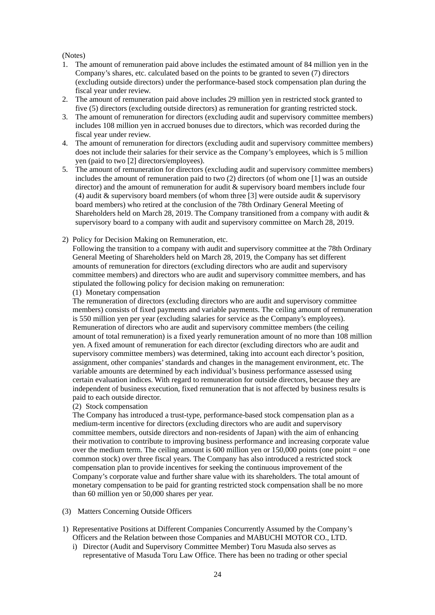### (Notes)

- 1. The amount of remuneration paid above includes the estimated amount of 84 million yen in the Company's shares, etc. calculated based on the points to be granted to seven (7) directors (excluding outside directors) under the performance-based stock compensation plan during the fiscal year under review.
- 2. The amount of remuneration paid above includes 29 million yen in restricted stock granted to five (5) directors (excluding outside directors) as remuneration for granting restricted stock.
- 3. The amount of remuneration for directors (excluding audit and supervisory committee members) includes 108 million yen in accrued bonuses due to directors, which was recorded during the fiscal year under review.
- 4. The amount of remuneration for directors (excluding audit and supervisory committee members) does not include their salaries for their service as the Company's employees, which is 5 million yen (paid to two [2] directors/employees).
- 5. The amount of remuneration for directors (excluding audit and supervisory committee members) includes the amount of remuneration paid to two (2) directors (of whom one [1] was an outside director) and the amount of remuneration for audit & supervisory board members include four (4) audit & supervisory board members (of whom three [3] were outside audit & supervisory board members) who retired at the conclusion of the 78th Ordinary General Meeting of Shareholders held on March 28, 2019. The Company transitioned from a company with audit & supervisory board to a company with audit and supervisory committee on March 28, 2019.
- 2) Policy for Decision Making on Remuneration, etc.

Following the transition to a company with audit and supervisory committee at the 78th Ordinary General Meeting of Shareholders held on March 28, 2019, the Company has set different amounts of remuneration for directors (excluding directors who are audit and supervisory committee members) and directors who are audit and supervisory committee members, and has stipulated the following policy for decision making on remuneration:

(1) Monetary compensation

The remuneration of directors (excluding directors who are audit and supervisory committee members) consists of fixed payments and variable payments. The ceiling amount of remuneration is 550 million yen per year (excluding salaries for service as the Company's employees). Remuneration of directors who are audit and supervisory committee members (the ceiling amount of total remuneration) is a fixed yearly remuneration amount of no more than 108 million yen. A fixed amount of remuneration for each director (excluding directors who are audit and supervisory committee members) was determined, taking into account each director's position, assignment, other companies' standards and changes in the management environment, etc. The variable amounts are determined by each individual's business performance assessed using certain evaluation indices. With regard to remuneration for outside directors, because they are independent of business execution, fixed remuneration that is not affected by business results is paid to each outside director.

(2) Stock compensation

The Company has introduced a trust-type, performance-based stock compensation plan as a medium-term incentive for directors (excluding directors who are audit and supervisory committee members, outside directors and non-residents of Japan) with the aim of enhancing their motivation to contribute to improving business performance and increasing corporate value over the medium term. The ceiling amount is  $600$  million yen or  $150,000$  points (one point  $=$  one common stock) over three fiscal years. The Company has also introduced a restricted stock compensation plan to provide incentives for seeking the continuous improvement of the Company's corporate value and further share value with its shareholders. The total amount of monetary compensation to be paid for granting restricted stock compensation shall be no more than 60 million yen or 50,000 shares per year.

- (3) Matters Concerning Outside Officers
- 1) Representative Positions at Different Companies Concurrently Assumed by the Company's Officers and the Relation between those Companies and MABUCHI MOTOR CO., LTD.
	- i) Director (Audit and Supervisory Committee Member) Toru Masuda also serves as representative of Masuda Toru Law Office. There has been no trading or other special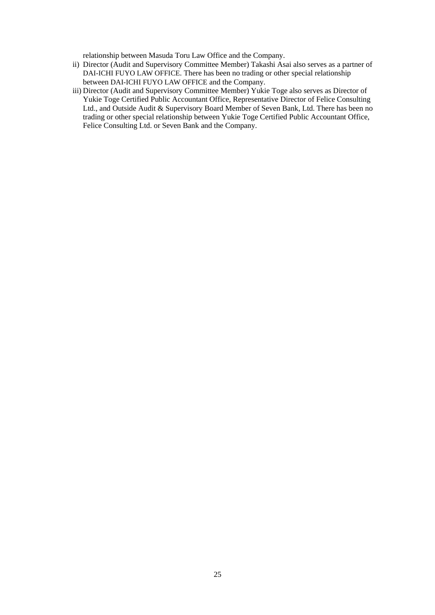relationship between Masuda Toru Law Office and the Company.

- ii) Director (Audit and Supervisory Committee Member) Takashi Asai also serves as a partner of DAI-ICHI FUYO LAW OFFICE. There has been no trading or other special relationship between DAI-ICHI FUYO LAW OFFICE and the Company.
- iii) Director (Audit and Supervisory Committee Member) Yukie Toge also serves as Director of Yukie Toge Certified Public Accountant Office, Representative Director of Felice Consulting Ltd., and Outside Audit & Supervisory Board Member of Seven Bank, Ltd. There has been no trading or other special relationship between Yukie Toge Certified Public Accountant Office, Felice Consulting Ltd. or Seven Bank and the Company.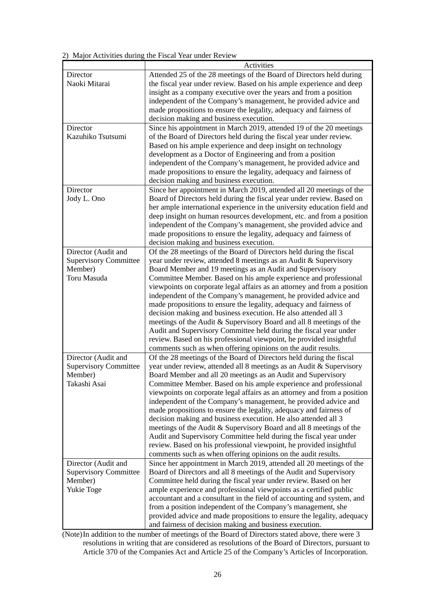2) Major Activities during the Fiscal Year under Review

|                              | Activities                                                               |
|------------------------------|--------------------------------------------------------------------------|
| Director                     | Attended 25 of the 28 meetings of the Board of Directors held during     |
| Naoki Mitarai                | the fiscal year under review. Based on his ample experience and deep     |
|                              | insight as a company executive over the years and from a position        |
|                              | independent of the Company's management, he provided advice and          |
|                              | made propositions to ensure the legality, adequacy and fairness of       |
|                              | decision making and business execution.                                  |
| Director                     | Since his appointment in March 2019, attended 19 of the 20 meetings      |
| Kazuhiko Tsutsumi            | of the Board of Directors held during the fiscal year under review.      |
|                              | Based on his ample experience and deep insight on technology             |
|                              | development as a Doctor of Engineering and from a position               |
|                              | independent of the Company's management, he provided advice and          |
|                              | made propositions to ensure the legality, adequacy and fairness of       |
|                              | decision making and business execution.                                  |
| Director                     | Since her appointment in March 2019, attended all 20 meetings of the     |
| Jody L. Ono                  | Board of Directors held during the fiscal year under review. Based on    |
|                              | her ample international experience in the university education field and |
|                              | deep insight on human resources development, etc. and from a position    |
|                              | independent of the Company's management, she provided advice and         |
|                              | made propositions to ensure the legality, adequacy and fairness of       |
|                              | decision making and business execution.                                  |
| Director (Audit and          | Of the 28 meetings of the Board of Directors held during the fiscal      |
| <b>Supervisory Committee</b> | year under review, attended 8 meetings as an Audit & Supervisory         |
| Member)                      | Board Member and 19 meetings as an Audit and Supervisory                 |
| Toru Masuda                  | Committee Member. Based on his ample experience and professional         |
|                              | viewpoints on corporate legal affairs as an attorney and from a position |
|                              | independent of the Company's management, he provided advice and          |
|                              | made propositions to ensure the legality, adequacy and fairness of       |
|                              | decision making and business execution. He also attended all 3           |
|                              | meetings of the Audit & Supervisory Board and all 8 meetings of the      |
|                              | Audit and Supervisory Committee held during the fiscal year under        |
|                              | review. Based on his professional viewpoint, he provided insightful      |
|                              | comments such as when offering opinions on the audit results.            |
| Director (Audit and          | Of the 28 meetings of the Board of Directors held during the fiscal      |
| <b>Supervisory Committee</b> | year under review, attended all 8 meetings as an Audit & Supervisory     |
| Member)                      | Board Member and all 20 meetings as an Audit and Supervisory             |
| Takashi Asai                 | Committee Member. Based on his ample experience and professional         |
|                              | viewpoints on corporate legal affairs as an attorney and from a position |
|                              | independent of the Company's management, he provided advice and          |
|                              | made propositions to ensure the legality, adequacy and fairness of       |
|                              | decision making and business execution. He also attended all 3           |
|                              | meetings of the Audit & Supervisory Board and all 8 meetings of the      |
|                              | Audit and Supervisory Committee held during the fiscal year under        |
|                              | review. Based on his professional viewpoint, he provided insightful      |
|                              | comments such as when offering opinions on the audit results.            |
| Director (Audit and          | Since her appointment in March 2019, attended all 20 meetings of the     |
| <b>Supervisory Committee</b> | Board of Directors and all 8 meetings of the Audit and Supervisory       |
| Member)                      | Committee held during the fiscal year under review. Based on her         |
| Yukie Toge                   | ample experience and professional viewpoints as a certified public       |
|                              | accountant and a consultant in the field of accounting and system, and   |
|                              | from a position independent of the Company's management, she             |
|                              | provided advice and made propositions to ensure the legality, adequacy   |
|                              | and fairness of decision making and business execution.                  |

(Note) In addition to the number of meetings of the Board of Directors stated above, there were 3 resolutions in writing that are considered as resolutions of the Board of Directors, pursuant to Article 370 of the Companies Act and Article 25 of the Company's Articles of Incorporation.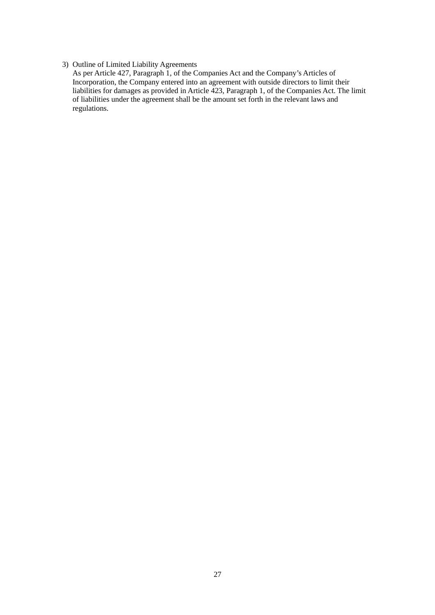## 3) Outline of Limited Liability Agreements

As per Article 427, Paragraph 1, of the Companies Act and the Company's Articles of Incorporation, the Company entered into an agreement with outside directors to limit their liabilities for damages as provided in Article 423, Paragraph 1, of the Companies Act. The limit of liabilities under the agreement shall be the amount set forth in the relevant laws and regulations.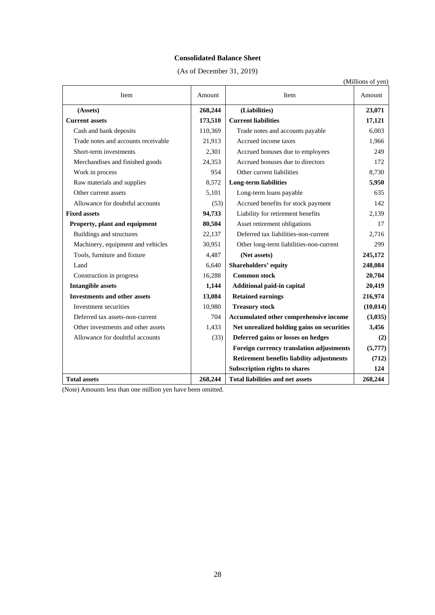## **Consolidated Balance Sheet**

(As of December 31, 2019)

| (Millions of yen)                   |         |                                            |           |
|-------------------------------------|---------|--------------------------------------------|-----------|
| Item                                | Amount  | Item                                       | Amount    |
| (Assets)                            | 268,244 | (Liabilities)                              | 23,071    |
| <b>Current assets</b>               | 173,510 | <b>Current liabilities</b>                 | 17,121    |
| Cash and bank deposits              | 110,369 | Trade notes and accounts payable           | 6,003     |
| Trade notes and accounts receivable | 21,913  | Accrued income taxes                       | 1,966     |
| Short-term investments              | 2,301   | Accrued bonuses due to employees           | 249       |
| Merchandises and finished goods     | 24,353  | Accrued bonuses due to directors           | 172       |
| Work in process                     | 954     | Other current liabilities                  | 8,730     |
| Raw materials and supplies          | 8,572   | <b>Long-term liabilities</b>               | 5,950     |
| Other current assets                | 5,101   | Long-term loans payable                    | 635       |
| Allowance for doubtful accounts     | (53)    | Accrued benefits for stock payment         | 142       |
| <b>Fixed assets</b>                 | 94,733  | Liability for retirement benefits          | 2,139     |
| Property, plant and equipment       | 80,504  | Asset retirement obligations               | 17        |
| Buildings and structures            | 22,137  | Deferred tax liabilities-non-current       | 2,716     |
| Machinery, equipment and vehicles   | 30,951  | Other long-term liabilities-non-current    | 299       |
| Tools, furniture and fixture        | 4,487   | (Net assets)                               | 245,172   |
| Land                                | 6,640   | Shareholders' equity                       | 248,084   |
| Construction in progress            | 16,288  | <b>Common stock</b>                        | 20,704    |
| <b>Intangible assets</b>            | 1,144   | Additional paid-in capital                 | 20,419    |
| <b>Investments and other assets</b> | 13,084  | <b>Retained earnings</b>                   | 216,974   |
| Investment securities               | 10,980  | <b>Treasury stock</b>                      | (10, 014) |
| Deferred tax assets-non-current     | 704     | Accumulated other comprehensive income     | (3,035)   |
| Other investments and other assets  | 1,433   | Net unrealized holding gains on securities | 3,456     |
| Allowance for doubtful accounts     | (33)    | Deferred gains or losses on hedges         | (2)       |
|                                     |         | Foreign currency translation adjustments   | (5,777)   |
|                                     |         | Retirement benefits liability adjustments  | (712)     |
|                                     |         | <b>Subscription rights to shares</b>       | 124       |
| <b>Total assets</b>                 | 268,244 | <b>Total liabilities and net assets</b>    | 268,244   |

(Note) Amounts less than one million yen have been omitted.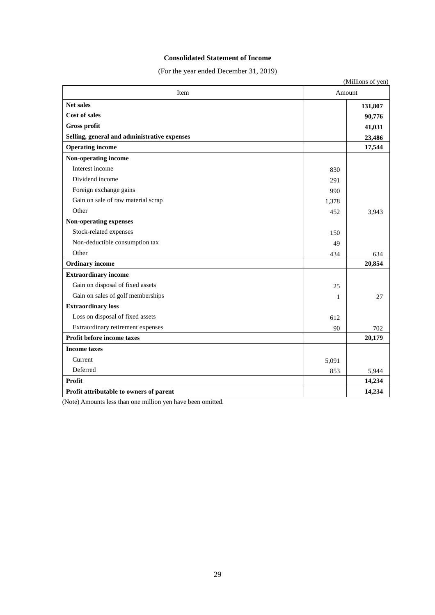## **Consolidated Statement of Income**

(For the year ended December 31, 2019)

| Item                                         | Amount |         |
|----------------------------------------------|--------|---------|
| <b>Net sales</b>                             |        | 131,807 |
| <b>Cost of sales</b>                         |        | 90,776  |
| Gross profit                                 |        | 41,031  |
| Selling, general and administrative expenses |        | 23,486  |
| <b>Operating income</b>                      |        | 17,544  |
| Non-operating income                         |        |         |
| Interest income                              | 830    |         |
| Dividend income                              | 291    |         |
| Foreign exchange gains                       | 990    |         |
| Gain on sale of raw material scrap           | 1,378  |         |
| Other                                        | 452    | 3,943   |
| Non-operating expenses                       |        |         |
| Stock-related expenses                       | 150    |         |
| Non-deductible consumption tax               | 49     |         |
| Other                                        | 434    | 634     |
| <b>Ordinary</b> income                       |        | 20,854  |
| <b>Extraordinary income</b>                  |        |         |
| Gain on disposal of fixed assets             | 25     |         |
| Gain on sales of golf memberships            | 1      | 27      |
| <b>Extraordinary loss</b>                    |        |         |
| Loss on disposal of fixed assets             | 612    |         |
| Extraordinary retirement expenses            | 90     | 702     |
| Profit before income taxes                   |        | 20,179  |
| <b>Income taxes</b>                          |        |         |
| Current                                      | 5,091  |         |
| Deferred                                     | 853    | 5,944   |
| Profit                                       |        | 14,234  |
| Profit attributable to owners of parent      |        | 14,234  |

(Note) Amounts less than one million yen have been omitted.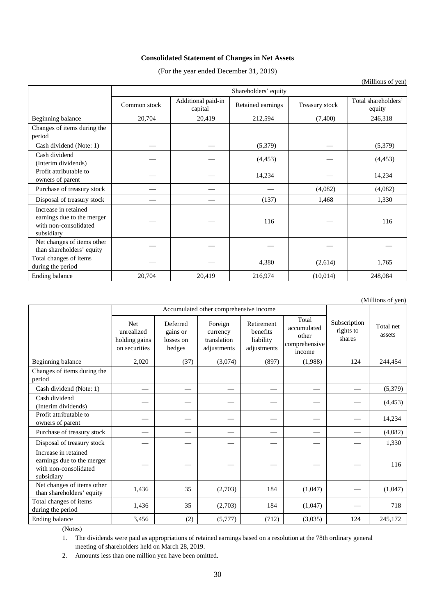## **Consolidated Statement of Changes in Net Assets**

(For the year ended December 31, 2019)

|                                                                                           |              |                               |                      |                | (Millions of yen)             |
|-------------------------------------------------------------------------------------------|--------------|-------------------------------|----------------------|----------------|-------------------------------|
|                                                                                           |              |                               | Shareholders' equity |                |                               |
|                                                                                           | Common stock | Additional paid-in<br>capital | Retained earnings    | Treasury stock | Total shareholders'<br>equity |
| Beginning balance                                                                         | 20,704       | 20,419                        | 212,594              | (7,400)        | 246,318                       |
| Changes of items during the<br>period                                                     |              |                               |                      |                |                               |
| Cash dividend (Note: 1)                                                                   |              |                               | (5,379)              |                | (5,379)                       |
| Cash dividend<br>(Interim dividends)                                                      |              |                               | (4, 453)             |                | (4, 453)                      |
| Profit attributable to<br>owners of parent                                                |              |                               | 14,234               |                | 14,234                        |
| Purchase of treasury stock                                                                |              |                               |                      | (4,082)        | (4,082)                       |
| Disposal of treasury stock                                                                |              |                               | (137)                | 1,468          | 1,330                         |
| Increase in retained<br>earnings due to the merger<br>with non-consolidated<br>subsidiary |              |                               | 116                  |                | 116                           |
| Net changes of items other<br>than shareholders' equity                                   |              |                               |                      |                |                               |
| Total changes of items<br>during the period                                               |              |                               | 4,380                | (2,614)        | 1,765                         |
| Ending balance                                                                            | 20,704       | 20,419                        | 216,974              | (10,014)       | 248,084                       |

(Millions of yen)

|                                                                                           |                                                            | Accumulated other comprehensive income      |                                                   |                                                    |                                                          |                                     |                     |
|-------------------------------------------------------------------------------------------|------------------------------------------------------------|---------------------------------------------|---------------------------------------------------|----------------------------------------------------|----------------------------------------------------------|-------------------------------------|---------------------|
|                                                                                           | <b>Net</b><br>unrealized<br>holding gains<br>on securities | Deferred<br>gains or<br>losses on<br>hedges | Foreign<br>currency<br>translation<br>adjustments | Retirement<br>benefits<br>liability<br>adjustments | Total<br>accumulated<br>other<br>comprehensive<br>income | Subscription<br>rights to<br>shares | Total net<br>assets |
| Beginning balance                                                                         | 2,020                                                      | (37)                                        | (3,074)                                           | (897)                                              | (1,988)                                                  | 124                                 | 244,454             |
| Changes of items during the<br>period                                                     |                                                            |                                             |                                                   |                                                    |                                                          |                                     |                     |
| Cash dividend (Note: 1)                                                                   |                                                            |                                             |                                                   |                                                    |                                                          |                                     | (5,379)             |
| Cash dividend<br>(Interim dividends)                                                      |                                                            |                                             |                                                   |                                                    |                                                          |                                     | (4, 453)            |
| Profit attributable to<br>owners of parent                                                |                                                            |                                             |                                                   |                                                    |                                                          |                                     | 14,234              |
| Purchase of treasury stock                                                                |                                                            |                                             |                                                   |                                                    |                                                          |                                     | (4,082)             |
| Disposal of treasury stock                                                                |                                                            |                                             |                                                   |                                                    |                                                          |                                     | 1,330               |
| Increase in retained<br>earnings due to the merger<br>with non-consolidated<br>subsidiary |                                                            |                                             |                                                   |                                                    |                                                          |                                     | 116                 |
| Net changes of items other<br>than shareholders' equity                                   | 1,436                                                      | 35                                          | (2,703)                                           | 184                                                | (1,047)                                                  |                                     | (1,047)             |
| Total changes of items<br>during the period                                               | 1,436                                                      | 35                                          | (2,703)                                           | 184                                                | (1,047)                                                  |                                     | 718                 |
| Ending balance                                                                            | 3,456                                                      | (2)                                         | (5,777)                                           | (712)                                              | (3,035)                                                  | 124                                 | 245,172             |

(Notes)

1. The dividends were paid as appropriations of retained earnings based on a resolution at the 78th ordinary general meeting of shareholders held on March 28, 2019.

2. Amounts less than one million yen have been omitted.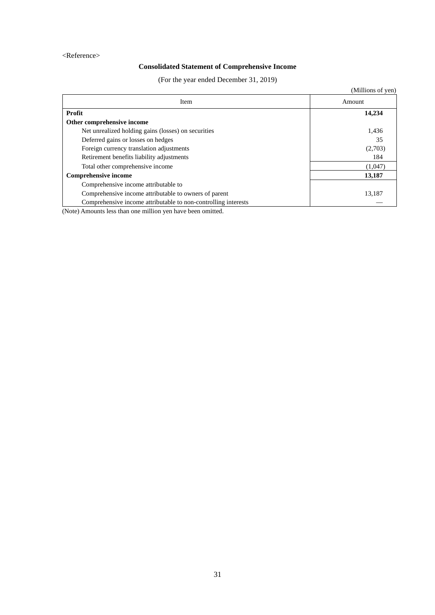## <Reference>

# **Consolidated Statement of Comprehensive Income**

(For the year ended December 31, 2019)

|                                                                | (Millions of yen) |
|----------------------------------------------------------------|-------------------|
| Item                                                           | Amount            |
| Profit                                                         | 14,234            |
| Other comprehensive income                                     |                   |
| Net unrealized holding gains (losses) on securities            | 1,436             |
| Deferred gains or losses on hedges                             | 35                |
| Foreign currency translation adjustments                       | (2,703)           |
| Retirement benefits liability adjustments                      | 184               |
| Total other comprehensive income                               | (1,047)           |
| <b>Comprehensive income</b>                                    | 13,187            |
| Comprehensive income attributable to                           |                   |
| Comprehensive income attributable to owners of parent          | 13,187            |
| Comprehensive income attributable to non-controlling interests |                   |

(Note) Amounts less than one million yen have been omitted.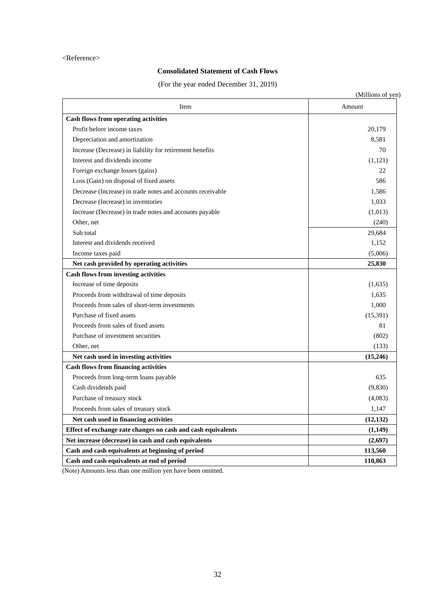### <Reference>

# **Consolidated Statement of Cash Flows**

(For the year ended December 31, 2019)

| Item                                                         | Amount    |
|--------------------------------------------------------------|-----------|
| <b>Cash flows from operating activities</b>                  |           |
| Profit before income taxes                                   | 20,179    |
| Depreciation and amortization                                | 8,581     |
| Increase (Decrease) in liability for retirement benefits     | 70        |
| Interest and dividends income                                | (1,121)   |
| Foreign exchange losses (gains)                              | 22        |
| Loss (Gain) on disposal of fixed assets                      | 586       |
| Decrease (Increase) in trade notes and accounts receivable   | 1,586     |
| Decrease (Increase) in inventories                           | 1,033     |
| Increase (Decrease) in trade notes and accounts payable      | (1,013)   |
| Other, net                                                   | (240)     |
| Sub total                                                    | 29,684    |
| Interest and dividends received                              | 1,152     |
| Income taxes paid                                            | (5,006)   |
| Net cash provided by operating activities                    | 25,830    |
| <b>Cash flows from investing activities</b>                  |           |
| Increase of time deposits                                    | (1,635)   |
| Proceeds from withdrawal of time deposits                    | 1,635     |
| Proceeds from sales of short-term investments                | 1,000     |
| Purchase of fixed assets                                     | (15,391)  |
| Proceeds from sales of fixed assets                          | 81        |
| Purchase of investment securities                            | (802)     |
| Other, net                                                   | (133)     |
| Net cash used in investing activities                        | (15,246)  |
| <b>Cash flows from financing activities</b>                  |           |
| Proceeds from long-term loans payable                        | 635       |
| Cash dividends paid                                          | (9,830)   |
| Purchase of treasury stock                                   | (4,083)   |
| Proceeds from sales of treasury stock                        | 1,147     |
| Net cash used in financing activities                        | (12, 132) |
| Effect of exchange rate changes on cash and cash equivalents | (1,149)   |
| Net increase (decrease) in cash and cash equivalents         | (2,697)   |
| Cash and cash equivalents at beginning of period             | 113,560   |
| Cash and cash equivalents at end of period                   | 110,863   |

(Note) Amounts less than one million yen have been omitted.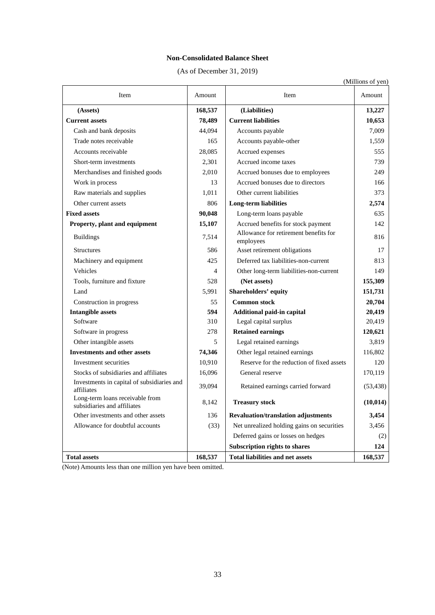## **Non-Consolidated Balance Sheet**

(As of December 31, 2019)

|                |                                                    | (Millions of yen) |
|----------------|----------------------------------------------------|-------------------|
| mount          | Item                                               | Amount            |
| 68,537         | (Liabilities)                                      | 13,227            |
| 78,489         | <b>Current liabilities</b>                         | 10,653            |
| 44,094         | Accounts payable                                   | 7,009             |
| 165            | Accounts payable-other                             | 1,559             |
| 28,085         | Accrued expenses                                   | 555               |
| 2,301          | Accrued income taxes                               | 739               |
| 2,010          | Accrued bonuses due to employees                   | 249               |
| 13             | Accrued bonuses due to directors                   | 166               |
| 1,011          | Other current liabilities                          | 373               |
| 806            | Long-term liabilities                              | 2,574             |
| 90,048         | Long-term loans payable                            | 635               |
| 15,107         | Accrued benefits for stock payment                 | 142               |
| 7,514          | Allowance for retirement benefits for<br>employees | 816               |
| 586            | Asset retirement obligations                       | 17                |
| 425            | Deferred tax liabilities-non-current               | 813               |
| $\overline{4}$ | Other long-term liabilities-non-current            | 149               |
| 528            | (Net assets)                                       | 155,309           |
| 5.001          | <b>Chambaldam'</b> aanitu                          | 151 721           |

| Item<br>Amount<br>Item                                         |         |                                                    | Amount    |
|----------------------------------------------------------------|---------|----------------------------------------------------|-----------|
| (Assets)                                                       | 168,537 | (Liabilities)                                      | 13,227    |
| <b>Current assets</b>                                          | 78,489  | <b>Current liabilities</b>                         | 10,653    |
| Cash and bank deposits                                         | 44,094  | Accounts payable                                   | 7,009     |
| Trade notes receivable                                         | 165     | Accounts payable-other                             | 1,559     |
| Accounts receivable                                            | 28,085  | Accrued expenses                                   | 555       |
| Short-term investments                                         | 2,301   | Accrued income taxes                               | 739       |
| Merchandises and finished goods                                | 2,010   | Accrued bonuses due to employees                   | 249       |
| Work in process                                                | 13      | Accrued bonuses due to directors                   | 166       |
| Raw materials and supplies                                     | 1,011   | Other current liabilities                          | 373       |
| Other current assets                                           | 806     | <b>Long-term liabilities</b>                       | 2,574     |
| <b>Fixed assets</b>                                            | 90,048  | Long-term loans payable                            | 635       |
| Property, plant and equipment                                  | 15,107  | Accrued benefits for stock payment                 | 142       |
| <b>Buildings</b>                                               | 7,514   | Allowance for retirement benefits for<br>employees | 816       |
| <b>Structures</b>                                              | 586     | Asset retirement obligations                       | 17        |
| Machinery and equipment                                        | 425     | Deferred tax liabilities-non-current               | 813       |
| Vehicles                                                       | 4       | Other long-term liabilities-non-current            | 149       |
| Tools, furniture and fixture                                   | 528     | (Net assets)                                       | 155,309   |
| Land                                                           | 5,991   | <b>Shareholders' equity</b>                        | 151,731   |
| Construction in progress                                       | 55      | <b>Common stock</b>                                | 20,704    |
| <b>Intangible assets</b>                                       | 594     | Additional paid-in capital                         | 20,419    |
| Software                                                       | 310     | Legal capital surplus                              | 20,419    |
| Software in progress                                           | 278     | <b>Retained earnings</b>                           | 120,621   |
| Other intangible assets                                        | 5       | Legal retained earnings                            | 3,819     |
| <b>Investments and other assets</b>                            | 74,346  | Other legal retained earnings                      | 116,802   |
| Investment securities                                          | 10,910  | Reserve for the reduction of fixed assets          | 120       |
| Stocks of subsidiaries and affiliates                          | 16,096  | General reserve                                    | 170,119   |
| Investments in capital of subsidiaries and<br>affiliates       | 39,094  | Retained earnings carried forward                  | (53, 438) |
| Long-term loans receivable from<br>subsidiaries and affiliates | 8.142   | <b>Treasury stock</b>                              | (10, 014) |
| Other investments and other assets                             | 136     | <b>Revaluation/translation adjustments</b>         | 3,454     |
| Allowance for doubtful accounts                                | (33)    | Net unrealized holding gains on securities         | 3,456     |
|                                                                |         | Deferred gains or losses on hedges                 | (2)       |
|                                                                |         | Subscription rights to shares                      | 124       |
| <b>Total assets</b>                                            | 168,537 | <b>Total liabilities and net assets</b>            | 168,537   |

(Note) Amounts less than one million yen have been omitted.

 $\overline{\phantom{a}}$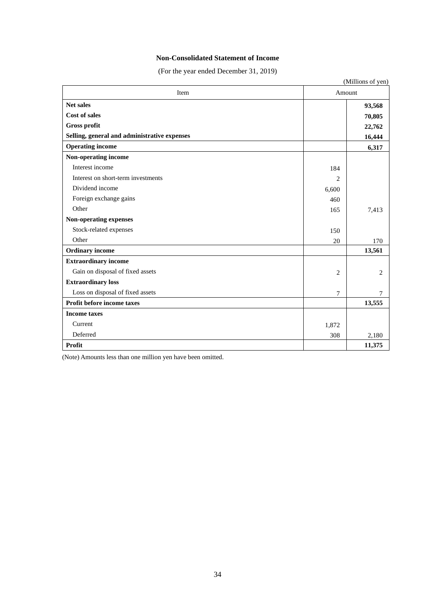## **Non-Consolidated Statement of Income**

(For the year ended December 31, 2019)

|                                              |                | (Millions of yen) |
|----------------------------------------------|----------------|-------------------|
| Item                                         |                | Amount            |
| <b>Net sales</b>                             |                | 93,568            |
| <b>Cost of sales</b>                         |                | 70,805            |
| Gross profit                                 |                | 22,762            |
| Selling, general and administrative expenses |                | 16,444            |
| <b>Operating income</b>                      |                | 6,317             |
| Non-operating income                         |                |                   |
| Interest income                              | 184            |                   |
| Interest on short-term investments           | $\overline{2}$ |                   |
| Dividend income                              | 6,600          |                   |
| Foreign exchange gains                       | 460            |                   |
| Other                                        | 165            | 7,413             |
| Non-operating expenses                       |                |                   |
| Stock-related expenses                       | 150            |                   |
| Other                                        | 20             | 170               |
| <b>Ordinary</b> income                       |                | 13,561            |
| <b>Extraordinary income</b>                  |                |                   |
| Gain on disposal of fixed assets             | 2              | 2                 |
| <b>Extraordinary loss</b>                    |                |                   |
| Loss on disposal of fixed assets             | 7              | 7                 |
| Profit before income taxes                   |                | 13,555            |
| <b>Income taxes</b>                          |                |                   |
| Current                                      | 1,872          |                   |
| Deferred                                     | 308            | 2,180             |
| Profit                                       |                | 11,375            |

(Note) Amounts less than one million yen have been omitted.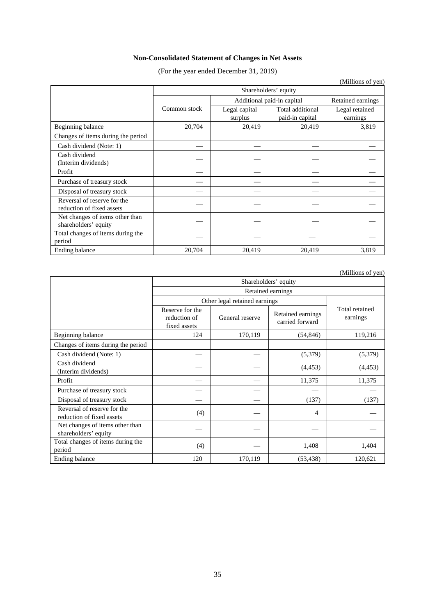# **Non-Consolidated Statement of Changes in Net Assets**

(For the year ended December 31, 2019)

|                                    |                      |                            |                   | (Millions of yen) |  |  |  |
|------------------------------------|----------------------|----------------------------|-------------------|-------------------|--|--|--|
|                                    | Shareholders' equity |                            |                   |                   |  |  |  |
|                                    |                      | Additional paid-in capital | Retained earnings |                   |  |  |  |
|                                    | Common stock         | Legal capital              | Total additional  | Legal retained    |  |  |  |
|                                    |                      | surplus                    | paid-in capital   | earnings          |  |  |  |
| Beginning balance                  | 20,704               | 20,419                     | 20,419            | 3,819             |  |  |  |
| Changes of items during the period |                      |                            |                   |                   |  |  |  |
| Cash dividend (Note: 1)            |                      |                            |                   |                   |  |  |  |
| Cash dividend                      |                      |                            |                   |                   |  |  |  |
| (Interim dividends)                |                      |                            |                   |                   |  |  |  |
| Profit                             |                      |                            |                   |                   |  |  |  |
| Purchase of treasury stock         |                      |                            |                   |                   |  |  |  |
| Disposal of treasury stock         |                      |                            |                   |                   |  |  |  |
| Reversal of reserve for the        |                      |                            |                   |                   |  |  |  |
| reduction of fixed assets          |                      |                            |                   |                   |  |  |  |
| Net changes of items other than    |                      |                            |                   |                   |  |  |  |
| shareholders' equity               |                      |                            |                   |                   |  |  |  |
| Total changes of items during the  |                      |                            |                   |                   |  |  |  |
| period                             |                      |                            |                   |                   |  |  |  |
| Ending balance                     | 20,704               | 20,419                     | 20,419            | 3,819             |  |  |  |

(Millions of yen)

|                                                          | Shareholders' equity                            |                 |                                      |                            |  |  |  |
|----------------------------------------------------------|-------------------------------------------------|-----------------|--------------------------------------|----------------------------|--|--|--|
|                                                          | Retained earnings                               |                 |                                      |                            |  |  |  |
|                                                          | Other legal retained earnings                   |                 |                                      |                            |  |  |  |
|                                                          | Reserve for the<br>reduction of<br>fixed assets | General reserve | Retained earnings<br>carried forward | Total retained<br>earnings |  |  |  |
| Beginning balance                                        | 124                                             | 170,119         | (54, 846)                            | 119,216                    |  |  |  |
| Changes of items during the period                       |                                                 |                 |                                      |                            |  |  |  |
| Cash dividend (Note: 1)                                  |                                                 |                 | (5,379)                              | (5,379)                    |  |  |  |
| Cash dividend<br>(Interim dividends)                     |                                                 |                 | (4, 453)                             | (4, 453)                   |  |  |  |
| Profit                                                   |                                                 |                 | 11,375                               | 11,375                     |  |  |  |
| Purchase of treasury stock                               |                                                 |                 |                                      |                            |  |  |  |
| Disposal of treasury stock                               |                                                 |                 | (137)                                | (137)                      |  |  |  |
| Reversal of reserve for the<br>reduction of fixed assets | (4)                                             |                 | 4                                    |                            |  |  |  |
| Net changes of items other than<br>shareholders' equity  |                                                 |                 |                                      |                            |  |  |  |
| Total changes of items during the<br>period              | (4)                                             |                 | 1,408                                | 1,404                      |  |  |  |
| Ending balance                                           | 120                                             | 170,119         | (53, 438)                            | 120,621                    |  |  |  |